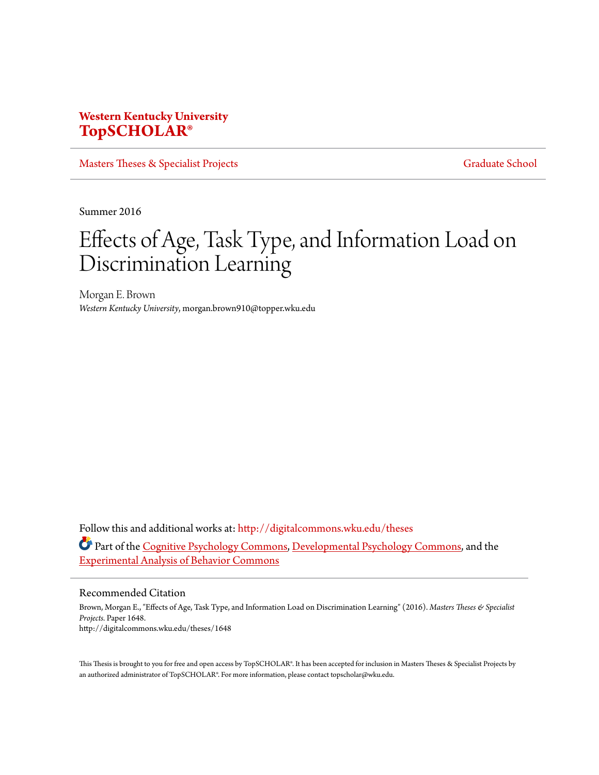# **Western Kentucky University [TopSCHOLAR®](http://digitalcommons.wku.edu?utm_source=digitalcommons.wku.edu%2Ftheses%2F1648&utm_medium=PDF&utm_campaign=PDFCoverPages)**

[Masters Theses & Specialist Projects](http://digitalcommons.wku.edu/theses?utm_source=digitalcommons.wku.edu%2Ftheses%2F1648&utm_medium=PDF&utm_campaign=PDFCoverPages) [Graduate School](http://digitalcommons.wku.edu/Graduate?utm_source=digitalcommons.wku.edu%2Ftheses%2F1648&utm_medium=PDF&utm_campaign=PDFCoverPages) Graduate School

Summer 2016

# Effects of Age, Task Type, and Information Load on Discrimination Learning

Morgan E. Brown *Western Kentucky University*, morgan.brown910@topper.wku.edu

Follow this and additional works at: [http://digitalcommons.wku.edu/theses](http://digitalcommons.wku.edu/theses?utm_source=digitalcommons.wku.edu%2Ftheses%2F1648&utm_medium=PDF&utm_campaign=PDFCoverPages) Part of the [Cognitive Psychology Commons,](http://network.bepress.com/hgg/discipline/408?utm_source=digitalcommons.wku.edu%2Ftheses%2F1648&utm_medium=PDF&utm_campaign=PDFCoverPages) [Developmental Psychology Commons,](http://network.bepress.com/hgg/discipline/410?utm_source=digitalcommons.wku.edu%2Ftheses%2F1648&utm_medium=PDF&utm_campaign=PDFCoverPages) and the [Experimental Analysis of Behavior Commons](http://network.bepress.com/hgg/discipline/1236?utm_source=digitalcommons.wku.edu%2Ftheses%2F1648&utm_medium=PDF&utm_campaign=PDFCoverPages)

#### Recommended Citation

Brown, Morgan E., "Effects of Age, Task Type, and Information Load on Discrimination Learning" (2016). *Masters Theses & Specialist Projects.* Paper 1648. http://digitalcommons.wku.edu/theses/1648

This Thesis is brought to you for free and open access by TopSCHOLAR®. It has been accepted for inclusion in Masters Theses & Specialist Projects by an authorized administrator of TopSCHOLAR®. For more information, please contact topscholar@wku.edu.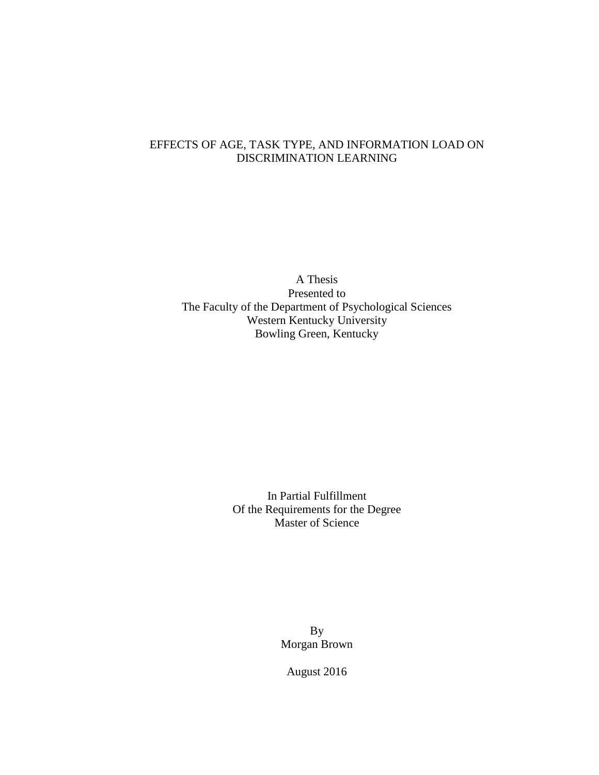## EFFECTS OF AGE, TASK TYPE, AND INFORMATION LOAD ON DISCRIMINATION LEARNING

A Thesis Presented to The Faculty of the Department of Psychological Sciences Western Kentucky University Bowling Green, Kentucky

> In Partial Fulfillment Of the Requirements for the Degree Master of Science

> > By Morgan Brown

August 2016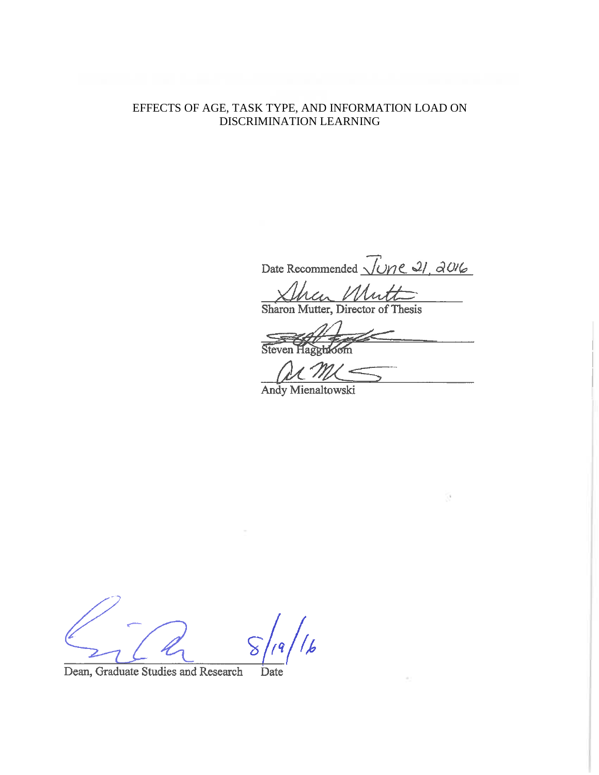## EFFECTS OF AGE, TASK TYPE, AND INFORMATION LOAD ON DISCRIMINATION LEARNING

Date Recommended *June 21, 2016* 

Sharon Mutter, Director of Thesis

Steven Haggbioom

Andy Mienaltowski

|<br>|b

Dean, Graduate Studies and Research Date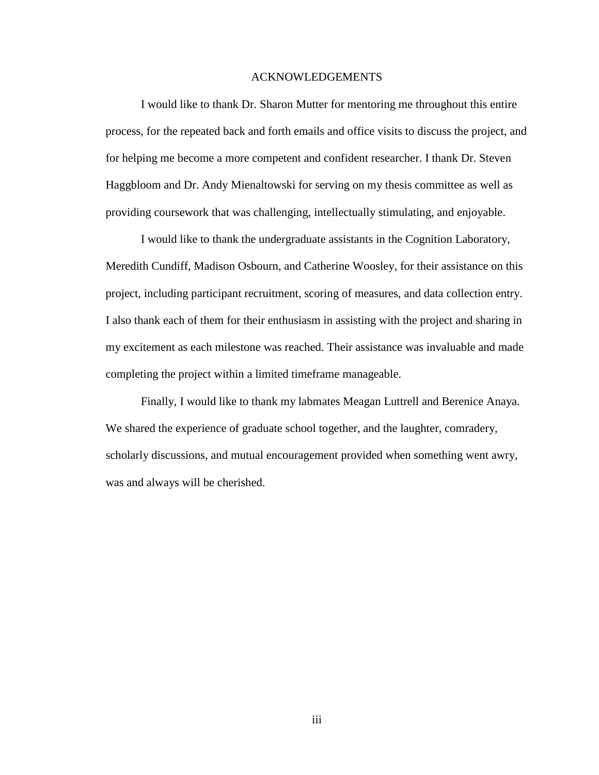#### ACKNOWLEDGEMENTS

I would like to thank Dr. Sharon Mutter for mentoring me throughout this entire process, for the repeated back and forth emails and office visits to discuss the project, and for helping me become a more competent and confident researcher. I thank Dr. Steven Haggbloom and Dr. Andy Mienaltowski for serving on my thesis committee as well as providing coursework that was challenging, intellectually stimulating, and enjoyable.

I would like to thank the undergraduate assistants in the Cognition Laboratory, Meredith Cundiff, Madison Osbourn, and Catherine Woosley, for their assistance on this project, including participant recruitment, scoring of measures, and data collection entry. I also thank each of them for their enthusiasm in assisting with the project and sharing in my excitement as each milestone was reached. Their assistance was invaluable and made completing the project within a limited timeframe manageable.

Finally, I would like to thank my labmates Meagan Luttrell and Berenice Anaya. We shared the experience of graduate school together, and the laughter, comradery, scholarly discussions, and mutual encouragement provided when something went awry, was and always will be cherished.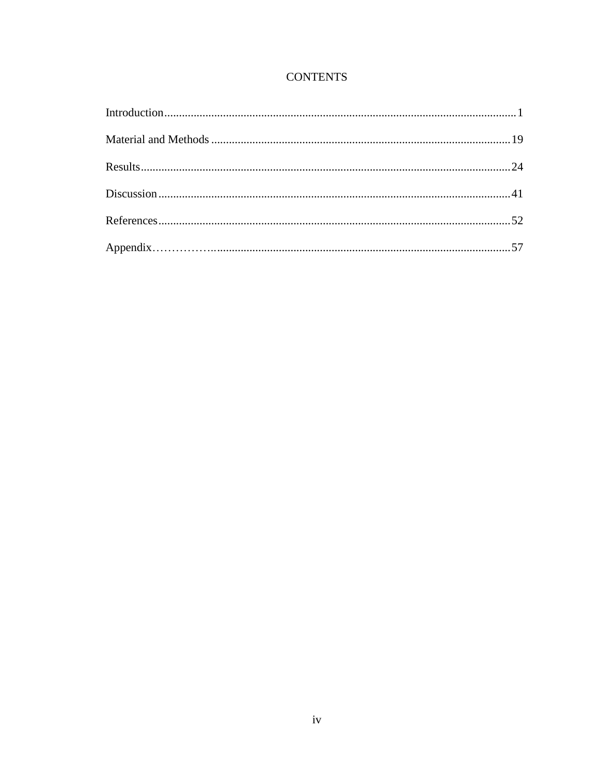# **CONTENTS**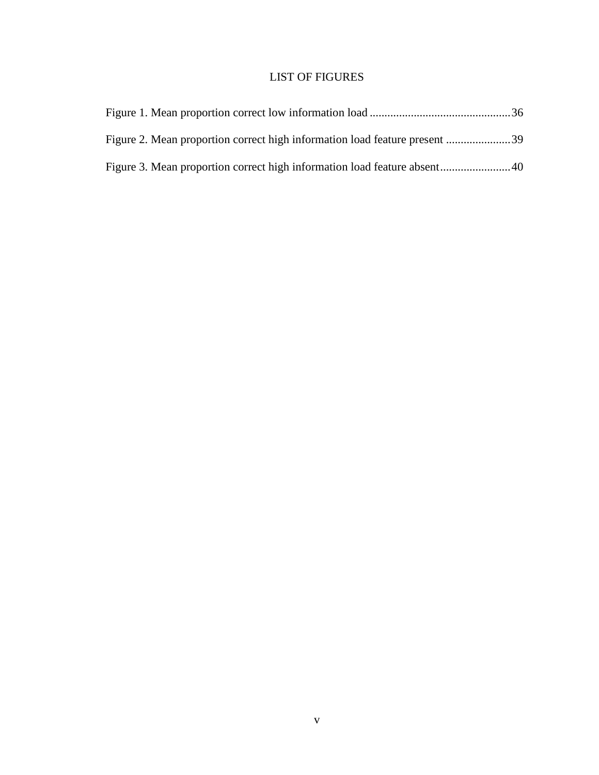# LIST OF FIGURES

| Figure 2. Mean proportion correct high information load feature present 39 |  |
|----------------------------------------------------------------------------|--|
|                                                                            |  |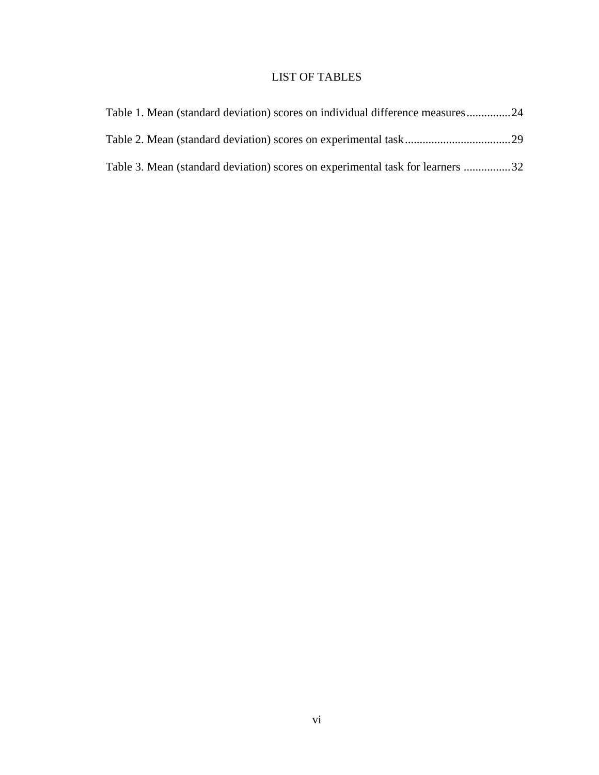## LIST OF TABLES

| Table 1. Mean (standard deviation) scores on individual difference measures 24 |  |
|--------------------------------------------------------------------------------|--|
|                                                                                |  |
| Table 3. Mean (standard deviation) scores on experimental task for learners 32 |  |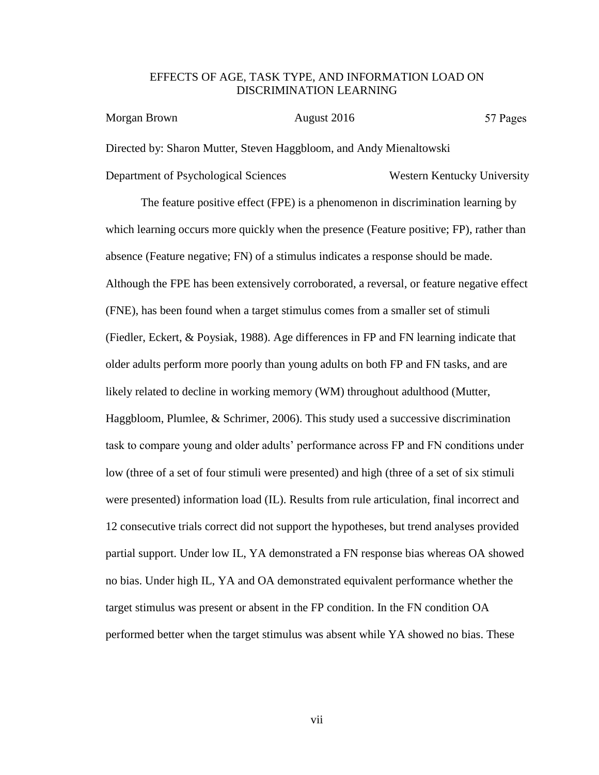### EFFECTS OF AGE, TASK TYPE, AND INFORMATION LOAD ON DISCRIMINATION LEARNING

| Morgan Brown                         | August 2016                                                         | 57 Pages                    |
|--------------------------------------|---------------------------------------------------------------------|-----------------------------|
|                                      | Directed by: Sharon Mutter, Steven Haggbloom, and Andy Mienaltowski |                             |
| Department of Psychological Sciences |                                                                     | Western Kentucky University |

The feature positive effect (FPE) is a phenomenon in discrimination learning by which learning occurs more quickly when the presence (Feature positive; FP), rather than absence (Feature negative; FN) of a stimulus indicates a response should be made. Although the FPE has been extensively corroborated, a reversal, or feature negative effect (FNE), has been found when a target stimulus comes from a smaller set of stimuli (Fiedler, Eckert, & Poysiak, 1988). Age differences in FP and FN learning indicate that older adults perform more poorly than young adults on both FP and FN tasks, and are likely related to decline in working memory (WM) throughout adulthood (Mutter, Haggbloom, Plumlee, & Schrimer, 2006). This study used a successive discrimination task to compare young and older adults' performance across FP and FN conditions under low (three of a set of four stimuli were presented) and high (three of a set of six stimuli were presented) information load (IL). Results from rule articulation, final incorrect and 12 consecutive trials correct did not support the hypotheses, but trend analyses provided partial support. Under low IL, YA demonstrated a FN response bias whereas OA showed no bias. Under high IL, YA and OA demonstrated equivalent performance whether the target stimulus was present or absent in the FP condition. In the FN condition OA performed better when the target stimulus was absent while YA showed no bias. These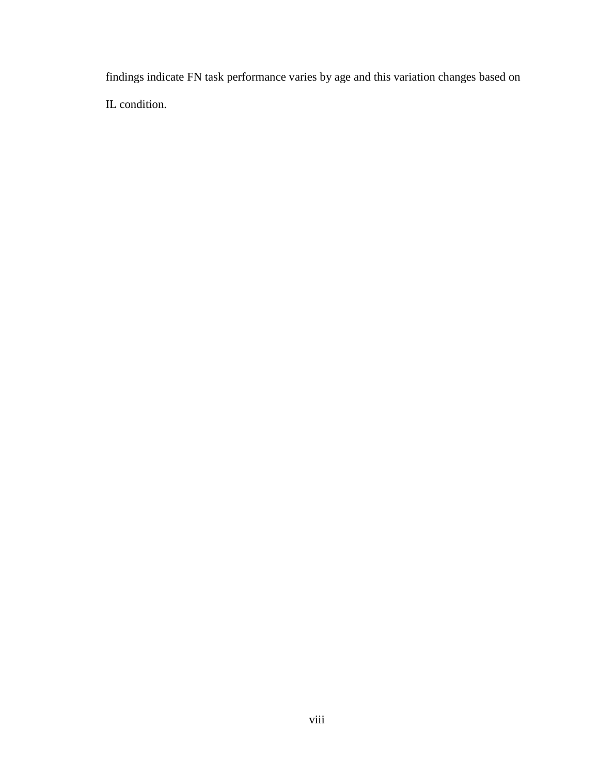<span id="page-8-0"></span>findings indicate FN task performance varies by age and this variation changes based on IL condition.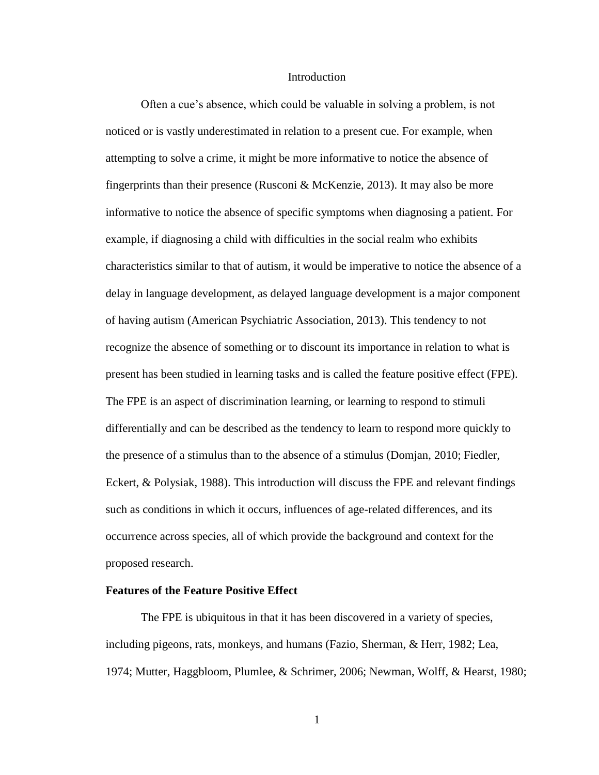#### Introduction

Often a cue's absence, which could be valuable in solving a problem, is not noticed or is vastly underestimated in relation to a present cue. For example, when attempting to solve a crime, it might be more informative to notice the absence of fingerprints than their presence (Rusconi  $\&$  McKenzie, 2013). It may also be more informative to notice the absence of specific symptoms when diagnosing a patient. For example, if diagnosing a child with difficulties in the social realm who exhibits characteristics similar to that of autism, it would be imperative to notice the absence of a delay in language development, as delayed language development is a major component of having autism (American Psychiatric Association, 2013). This tendency to not recognize the absence of something or to discount its importance in relation to what is present has been studied in learning tasks and is called the feature positive effect (FPE). The FPE is an aspect of discrimination learning, or learning to respond to stimuli differentially and can be described as the tendency to learn to respond more quickly to the presence of a stimulus than to the absence of a stimulus (Domjan, 2010; Fiedler, Eckert, & Polysiak, 1988). This introduction will discuss the FPE and relevant findings such as conditions in which it occurs, influences of age-related differences, and its occurrence across species, all of which provide the background and context for the proposed research.

#### **Features of the Feature Positive Effect**

The FPE is ubiquitous in that it has been discovered in a variety of species, including pigeons, rats, monkeys, and humans (Fazio, Sherman, & Herr, 1982; Lea, 1974; Mutter, Haggbloom, Plumlee, & Schrimer, 2006; Newman, Wolff, & Hearst, 1980;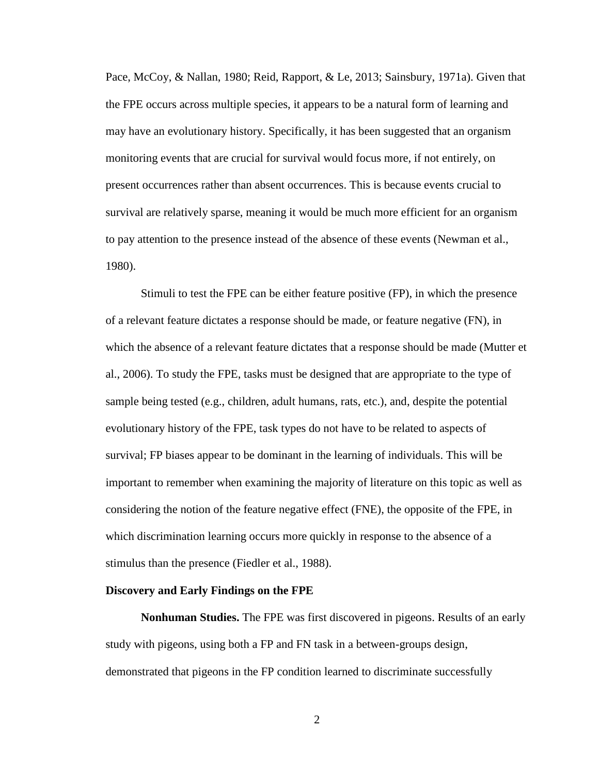Pace, McCoy, & Nallan, 1980; Reid, Rapport, & Le, 2013; Sainsbury, 1971a). Given that the FPE occurs across multiple species, it appears to be a natural form of learning and may have an evolutionary history. Specifically, it has been suggested that an organism monitoring events that are crucial for survival would focus more, if not entirely, on present occurrences rather than absent occurrences. This is because events crucial to survival are relatively sparse, meaning it would be much more efficient for an organism to pay attention to the presence instead of the absence of these events (Newman et al., 1980).

Stimuli to test the FPE can be either feature positive (FP), in which the presence of a relevant feature dictates a response should be made, or feature negative (FN), in which the absence of a relevant feature dictates that a response should be made (Mutter et al., 2006). To study the FPE, tasks must be designed that are appropriate to the type of sample being tested (e.g., children, adult humans, rats, etc.), and, despite the potential evolutionary history of the FPE, task types do not have to be related to aspects of survival; FP biases appear to be dominant in the learning of individuals. This will be important to remember when examining the majority of literature on this topic as well as considering the notion of the feature negative effect (FNE), the opposite of the FPE, in which discrimination learning occurs more quickly in response to the absence of a stimulus than the presence (Fiedler et al., 1988).

#### **Discovery and Early Findings on the FPE**

**Nonhuman Studies.** The FPE was first discovered in pigeons. Results of an early study with pigeons, using both a FP and FN task in a between-groups design, demonstrated that pigeons in the FP condition learned to discriminate successfully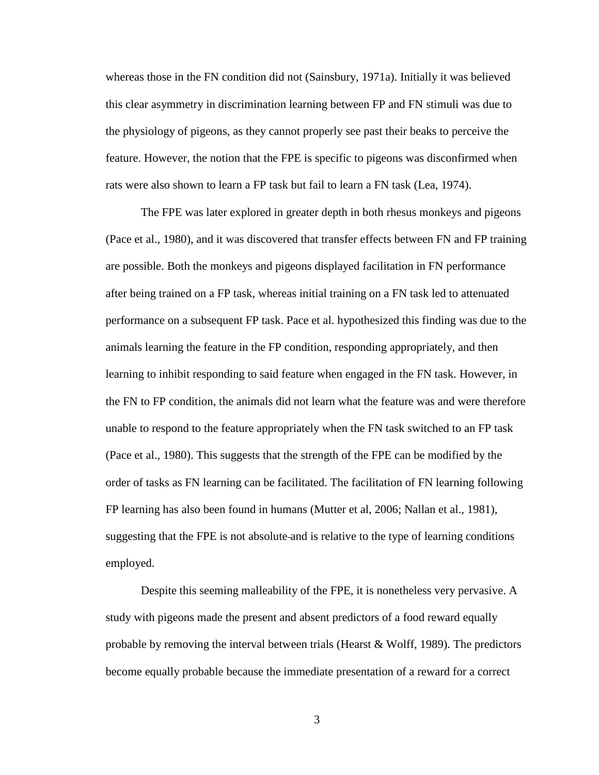whereas those in the FN condition did not (Sainsbury, 1971a). Initially it was believed this clear asymmetry in discrimination learning between FP and FN stimuli was due to the physiology of pigeons, as they cannot properly see past their beaks to perceive the feature. However, the notion that the FPE is specific to pigeons was disconfirmed when rats were also shown to learn a FP task but fail to learn a FN task (Lea, 1974).

The FPE was later explored in greater depth in both rhesus monkeys and pigeons (Pace et al., 1980), and it was discovered that transfer effects between FN and FP training are possible. Both the monkeys and pigeons displayed facilitation in FN performance after being trained on a FP task, whereas initial training on a FN task led to attenuated performance on a subsequent FP task. Pace et al. hypothesized this finding was due to the animals learning the feature in the FP condition, responding appropriately, and then learning to inhibit responding to said feature when engaged in the FN task. However, in the FN to FP condition, the animals did not learn what the feature was and were therefore unable to respond to the feature appropriately when the FN task switched to an FP task (Pace et al., 1980). This suggests that the strength of the FPE can be modified by the order of tasks as FN learning can be facilitated. The facilitation of FN learning following FP learning has also been found in humans (Mutter et al, 2006; Nallan et al., 1981), suggesting that the FPE is not absolute and is relative to the type of learning conditions employed.

Despite this seeming malleability of the FPE, it is nonetheless very pervasive. A study with pigeons made the present and absent predictors of a food reward equally probable by removing the interval between trials (Hearst  $\&$  Wolff, 1989). The predictors become equally probable because the immediate presentation of a reward for a correct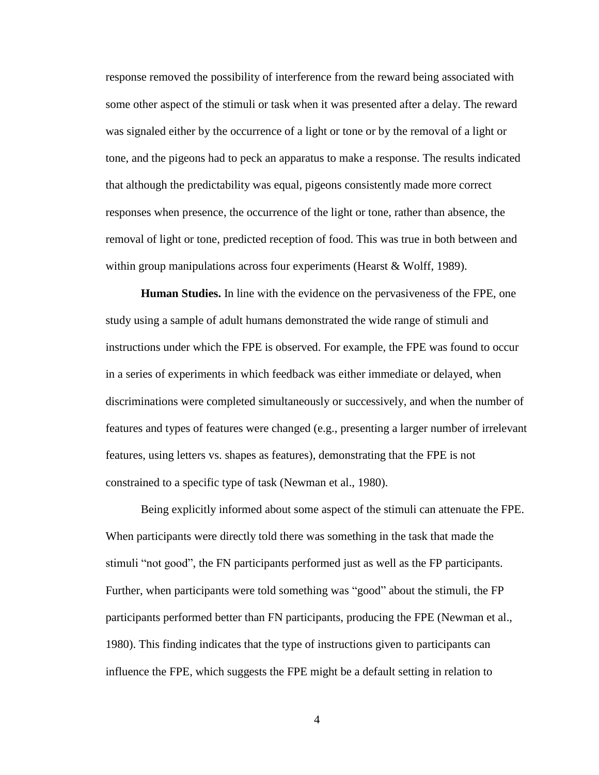response removed the possibility of interference from the reward being associated with some other aspect of the stimuli or task when it was presented after a delay. The reward was signaled either by the occurrence of a light or tone or by the removal of a light or tone, and the pigeons had to peck an apparatus to make a response. The results indicated that although the predictability was equal, pigeons consistently made more correct responses when presence, the occurrence of the light or tone, rather than absence, the removal of light or tone, predicted reception of food. This was true in both between and within group manipulations across four experiments (Hearst & Wolff, 1989).

**Human Studies.** In line with the evidence on the pervasiveness of the FPE, one study using a sample of adult humans demonstrated the wide range of stimuli and instructions under which the FPE is observed. For example, the FPE was found to occur in a series of experiments in which feedback was either immediate or delayed, when discriminations were completed simultaneously or successively, and when the number of features and types of features were changed (e.g., presenting a larger number of irrelevant features, using letters vs. shapes as features), demonstrating that the FPE is not constrained to a specific type of task (Newman et al., 1980).

Being explicitly informed about some aspect of the stimuli can attenuate the FPE. When participants were directly told there was something in the task that made the stimuli "not good", the FN participants performed just as well as the FP participants. Further, when participants were told something was "good" about the stimuli, the FP participants performed better than FN participants, producing the FPE (Newman et al., 1980). This finding indicates that the type of instructions given to participants can influence the FPE, which suggests the FPE might be a default setting in relation to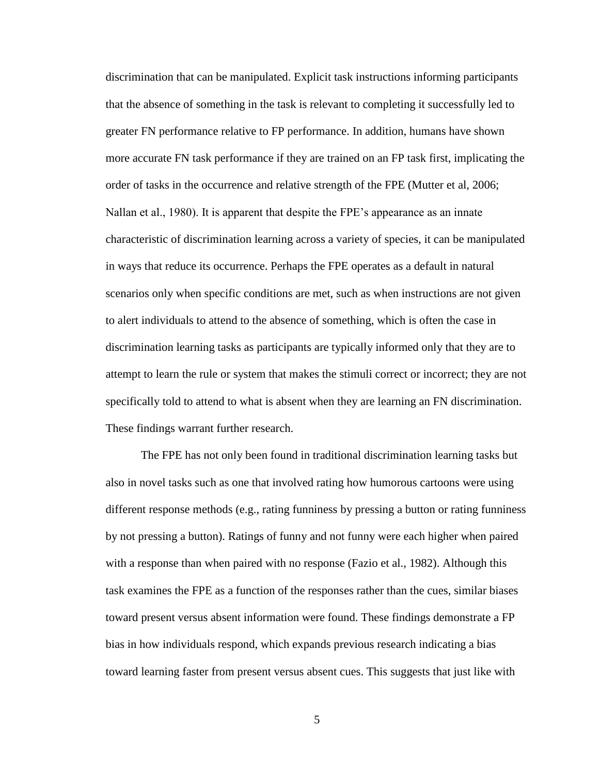discrimination that can be manipulated. Explicit task instructions informing participants that the absence of something in the task is relevant to completing it successfully led to greater FN performance relative to FP performance. In addition, humans have shown more accurate FN task performance if they are trained on an FP task first, implicating the order of tasks in the occurrence and relative strength of the FPE (Mutter et al, 2006; Nallan et al., 1980). It is apparent that despite the FPE's appearance as an innate characteristic of discrimination learning across a variety of species, it can be manipulated in ways that reduce its occurrence. Perhaps the FPE operates as a default in natural scenarios only when specific conditions are met, such as when instructions are not given to alert individuals to attend to the absence of something, which is often the case in discrimination learning tasks as participants are typically informed only that they are to attempt to learn the rule or system that makes the stimuli correct or incorrect; they are not specifically told to attend to what is absent when they are learning an FN discrimination. These findings warrant further research.

The FPE has not only been found in traditional discrimination learning tasks but also in novel tasks such as one that involved rating how humorous cartoons were using different response methods (e.g., rating funniness by pressing a button or rating funniness by not pressing a button). Ratings of funny and not funny were each higher when paired with a response than when paired with no response (Fazio et al., 1982). Although this task examines the FPE as a function of the responses rather than the cues, similar biases toward present versus absent information were found. These findings demonstrate a FP bias in how individuals respond, which expands previous research indicating a bias toward learning faster from present versus absent cues. This suggests that just like with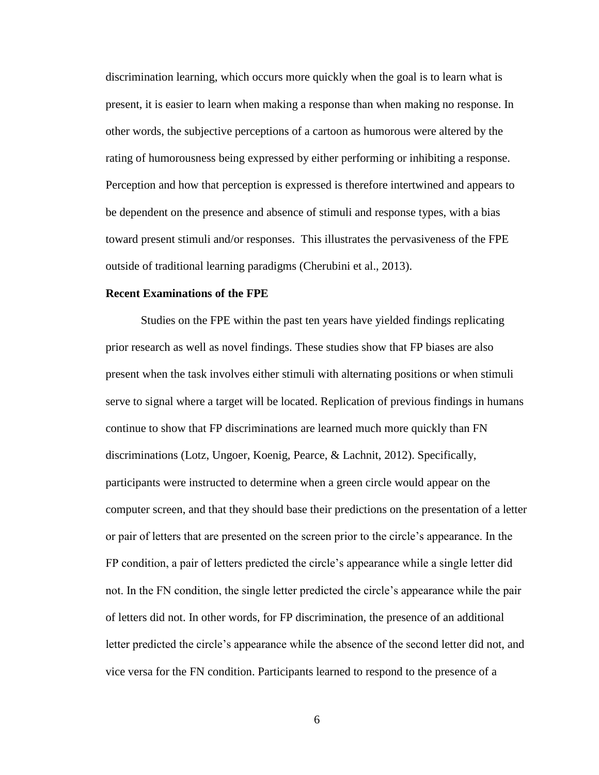discrimination learning, which occurs more quickly when the goal is to learn what is present, it is easier to learn when making a response than when making no response. In other words, the subjective perceptions of a cartoon as humorous were altered by the rating of humorousness being expressed by either performing or inhibiting a response. Perception and how that perception is expressed is therefore intertwined and appears to be dependent on the presence and absence of stimuli and response types, with a bias toward present stimuli and/or responses. This illustrates the pervasiveness of the FPE outside of traditional learning paradigms (Cherubini et al., 2013).

#### **Recent Examinations of the FPE**

Studies on the FPE within the past ten years have yielded findings replicating prior research as well as novel findings. These studies show that FP biases are also present when the task involves either stimuli with alternating positions or when stimuli serve to signal where a target will be located. Replication of previous findings in humans continue to show that FP discriminations are learned much more quickly than FN discriminations (Lotz, Ungoer, Koenig, Pearce, & Lachnit, 2012). Specifically, participants were instructed to determine when a green circle would appear on the computer screen, and that they should base their predictions on the presentation of a letter or pair of letters that are presented on the screen prior to the circle's appearance. In the FP condition, a pair of letters predicted the circle's appearance while a single letter did not. In the FN condition, the single letter predicted the circle's appearance while the pair of letters did not. In other words, for FP discrimination, the presence of an additional letter predicted the circle's appearance while the absence of the second letter did not, and vice versa for the FN condition. Participants learned to respond to the presence of a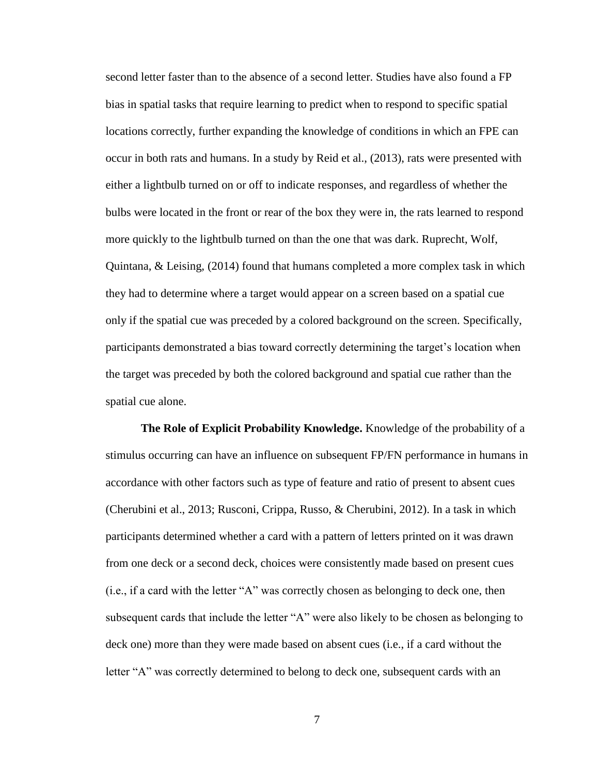second letter faster than to the absence of a second letter. Studies have also found a FP bias in spatial tasks that require learning to predict when to respond to specific spatial locations correctly, further expanding the knowledge of conditions in which an FPE can occur in both rats and humans. In a study by Reid et al., (2013), rats were presented with either a lightbulb turned on or off to indicate responses, and regardless of whether the bulbs were located in the front or rear of the box they were in, the rats learned to respond more quickly to the lightbulb turned on than the one that was dark. Ruprecht, Wolf, Quintana, & Leising, (2014) found that humans completed a more complex task in which they had to determine where a target would appear on a screen based on a spatial cue only if the spatial cue was preceded by a colored background on the screen. Specifically, participants demonstrated a bias toward correctly determining the target's location when the target was preceded by both the colored background and spatial cue rather than the spatial cue alone.

**The Role of Explicit Probability Knowledge.** Knowledge of the probability of a stimulus occurring can have an influence on subsequent FP/FN performance in humans in accordance with other factors such as type of feature and ratio of present to absent cues (Cherubini et al., 2013; Rusconi, Crippa, Russo, & Cherubini, 2012). In a task in which participants determined whether a card with a pattern of letters printed on it was drawn from one deck or a second deck, choices were consistently made based on present cues (i.e., if a card with the letter "A" was correctly chosen as belonging to deck one, then subsequent cards that include the letter "A" were also likely to be chosen as belonging to deck one) more than they were made based on absent cues (i.e., if a card without the letter "A" was correctly determined to belong to deck one, subsequent cards with an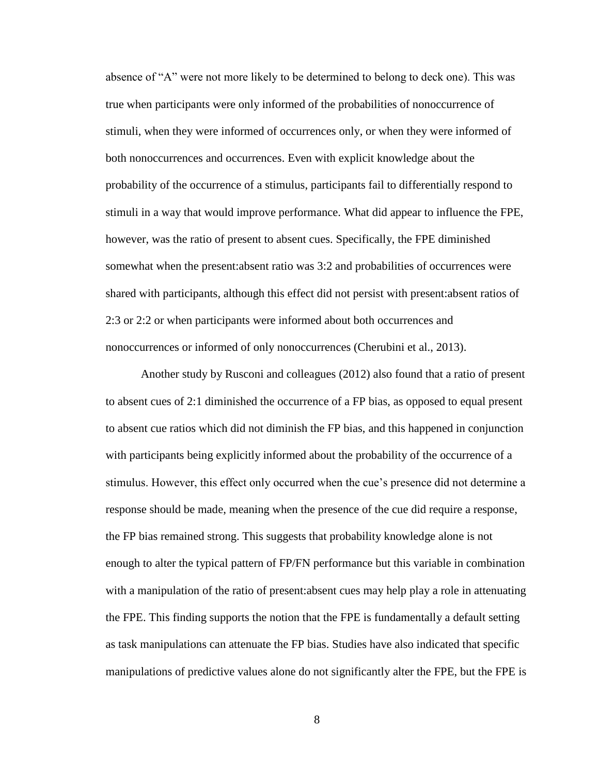absence of "A" were not more likely to be determined to belong to deck one). This was true when participants were only informed of the probabilities of nonoccurrence of stimuli, when they were informed of occurrences only, or when they were informed of both nonoccurrences and occurrences. Even with explicit knowledge about the probability of the occurrence of a stimulus, participants fail to differentially respond to stimuli in a way that would improve performance. What did appear to influence the FPE, however, was the ratio of present to absent cues. Specifically, the FPE diminished somewhat when the present:absent ratio was 3:2 and probabilities of occurrences were shared with participants, although this effect did not persist with present:absent ratios of 2:3 or 2:2 or when participants were informed about both occurrences and nonoccurrences or informed of only nonoccurrences (Cherubini et al., 2013).

Another study by Rusconi and colleagues (2012) also found that a ratio of present to absent cues of 2:1 diminished the occurrence of a FP bias, as opposed to equal present to absent cue ratios which did not diminish the FP bias, and this happened in conjunction with participants being explicitly informed about the probability of the occurrence of a stimulus. However, this effect only occurred when the cue's presence did not determine a response should be made, meaning when the presence of the cue did require a response, the FP bias remained strong. This suggests that probability knowledge alone is not enough to alter the typical pattern of FP/FN performance but this variable in combination with a manipulation of the ratio of present:absent cues may help play a role in attenuating the FPE. This finding supports the notion that the FPE is fundamentally a default setting as task manipulations can attenuate the FP bias. Studies have also indicated that specific manipulations of predictive values alone do not significantly alter the FPE, but the FPE is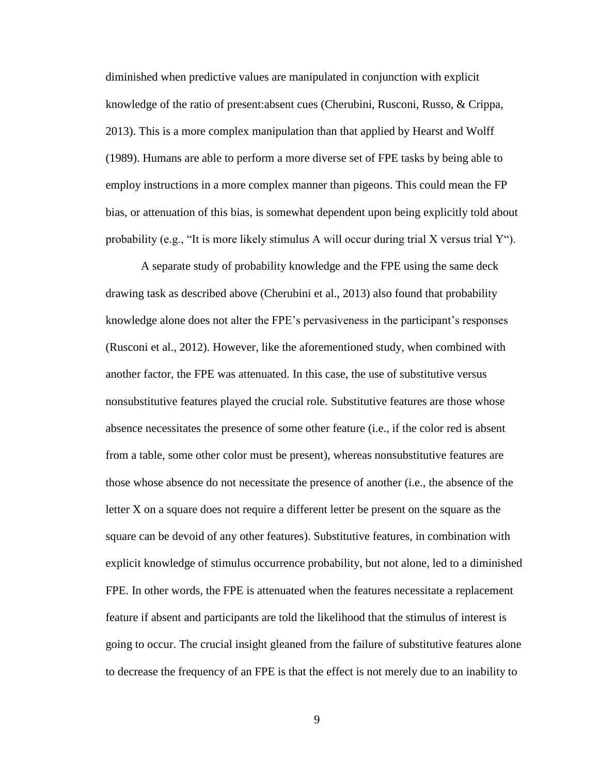diminished when predictive values are manipulated in conjunction with explicit knowledge of the ratio of present:absent cues (Cherubini, Rusconi, Russo, & Crippa, 2013). This is a more complex manipulation than that applied by Hearst and Wolff (1989). Humans are able to perform a more diverse set of FPE tasks by being able to employ instructions in a more complex manner than pigeons. This could mean the FP bias, or attenuation of this bias, is somewhat dependent upon being explicitly told about probability (e.g., "It is more likely stimulus A will occur during trial X versus trial Y").

A separate study of probability knowledge and the FPE using the same deck drawing task as described above (Cherubini et al., 2013) also found that probability knowledge alone does not alter the FPE's pervasiveness in the participant's responses (Rusconi et al., 2012). However, like the aforementioned study, when combined with another factor, the FPE was attenuated. In this case, the use of substitutive versus nonsubstitutive features played the crucial role. Substitutive features are those whose absence necessitates the presence of some other feature (i.e., if the color red is absent from a table, some other color must be present), whereas nonsubstitutive features are those whose absence do not necessitate the presence of another (i.e., the absence of the letter X on a square does not require a different letter be present on the square as the square can be devoid of any other features). Substitutive features, in combination with explicit knowledge of stimulus occurrence probability, but not alone, led to a diminished FPE. In other words, the FPE is attenuated when the features necessitate a replacement feature if absent and participants are told the likelihood that the stimulus of interest is going to occur. The crucial insight gleaned from the failure of substitutive features alone to decrease the frequency of an FPE is that the effect is not merely due to an inability to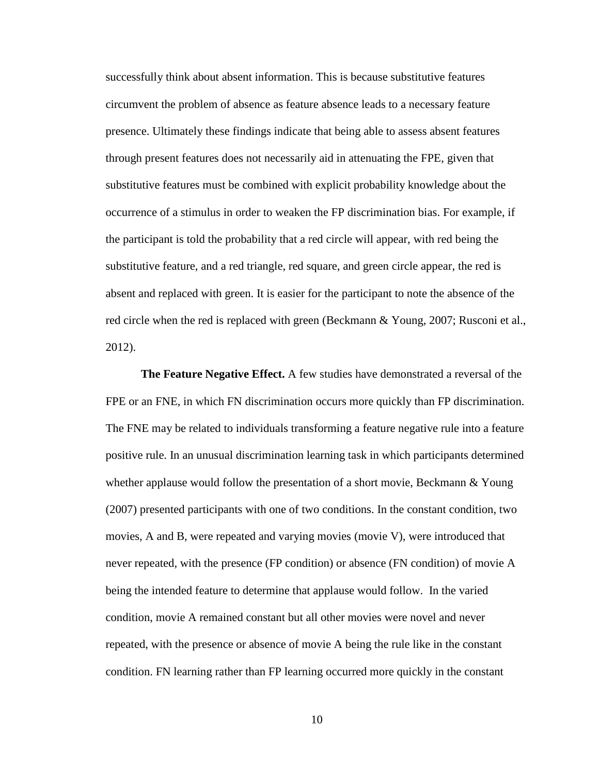successfully think about absent information. This is because substitutive features circumvent the problem of absence as feature absence leads to a necessary feature presence. Ultimately these findings indicate that being able to assess absent features through present features does not necessarily aid in attenuating the FPE, given that substitutive features must be combined with explicit probability knowledge about the occurrence of a stimulus in order to weaken the FP discrimination bias. For example, if the participant is told the probability that a red circle will appear, with red being the substitutive feature, and a red triangle, red square, and green circle appear, the red is absent and replaced with green. It is easier for the participant to note the absence of the red circle when the red is replaced with green (Beckmann & Young, 2007; Rusconi et al., 2012).

**The Feature Negative Effect.** A few studies have demonstrated a reversal of the FPE or an FNE, in which FN discrimination occurs more quickly than FP discrimination. The FNE may be related to individuals transforming a feature negative rule into a feature positive rule. In an unusual discrimination learning task in which participants determined whether applause would follow the presentation of a short movie, Beckmann  $& Young$ (2007) presented participants with one of two conditions. In the constant condition, two movies, A and B, were repeated and varying movies (movie V), were introduced that never repeated, with the presence (FP condition) or absence (FN condition) of movie A being the intended feature to determine that applause would follow. In the varied condition, movie A remained constant but all other movies were novel and never repeated, with the presence or absence of movie A being the rule like in the constant condition. FN learning rather than FP learning occurred more quickly in the constant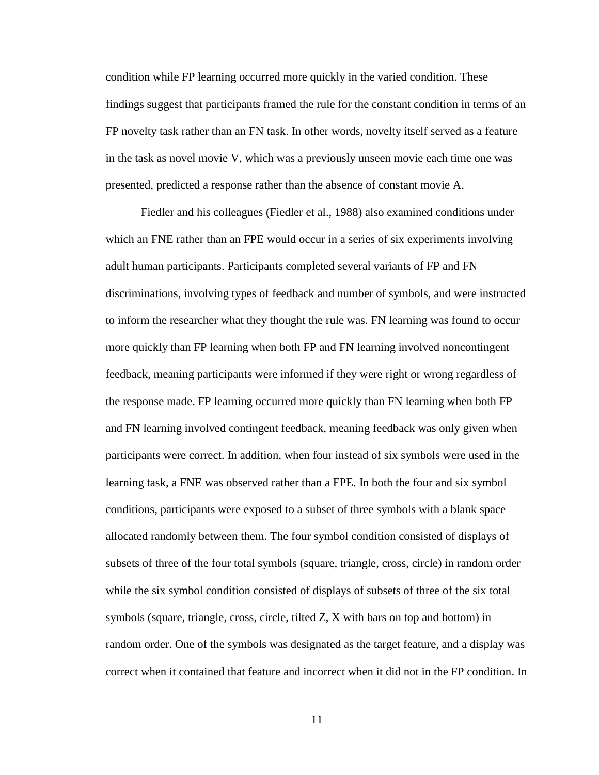condition while FP learning occurred more quickly in the varied condition. These findings suggest that participants framed the rule for the constant condition in terms of an FP novelty task rather than an FN task. In other words, novelty itself served as a feature in the task as novel movie V, which was a previously unseen movie each time one was presented, predicted a response rather than the absence of constant movie A.

Fiedler and his colleagues (Fiedler et al., 1988) also examined conditions under which an FNE rather than an FPE would occur in a series of six experiments involving adult human participants. Participants completed several variants of FP and FN discriminations, involving types of feedback and number of symbols, and were instructed to inform the researcher what they thought the rule was. FN learning was found to occur more quickly than FP learning when both FP and FN learning involved noncontingent feedback, meaning participants were informed if they were right or wrong regardless of the response made. FP learning occurred more quickly than FN learning when both FP and FN learning involved contingent feedback, meaning feedback was only given when participants were correct. In addition, when four instead of six symbols were used in the learning task, a FNE was observed rather than a FPE. In both the four and six symbol conditions, participants were exposed to a subset of three symbols with a blank space allocated randomly between them. The four symbol condition consisted of displays of subsets of three of the four total symbols (square, triangle, cross, circle) in random order while the six symbol condition consisted of displays of subsets of three of the six total symbols (square, triangle, cross, circle, tilted Z, X with bars on top and bottom) in random order. One of the symbols was designated as the target feature, and a display was correct when it contained that feature and incorrect when it did not in the FP condition. In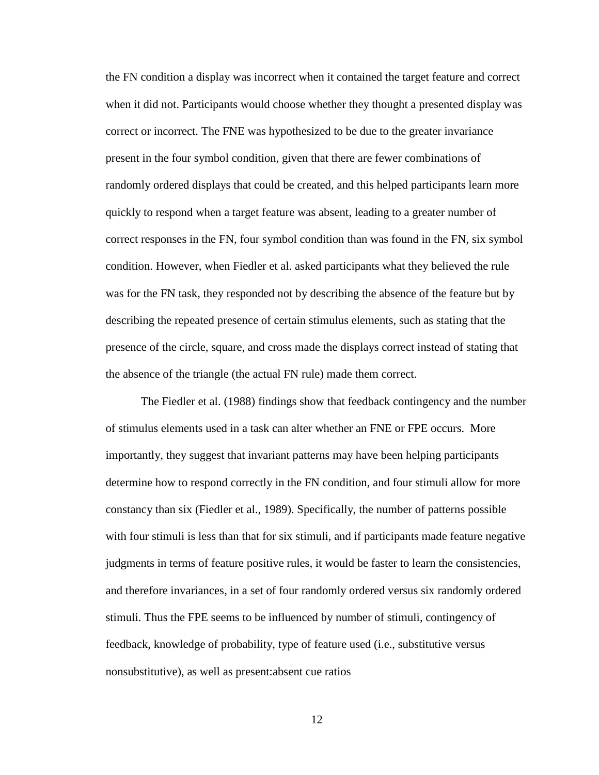the FN condition a display was incorrect when it contained the target feature and correct when it did not. Participants would choose whether they thought a presented display was correct or incorrect. The FNE was hypothesized to be due to the greater invariance present in the four symbol condition, given that there are fewer combinations of randomly ordered displays that could be created, and this helped participants learn more quickly to respond when a target feature was absent, leading to a greater number of correct responses in the FN, four symbol condition than was found in the FN, six symbol condition. However, when Fiedler et al. asked participants what they believed the rule was for the FN task, they responded not by describing the absence of the feature but by describing the repeated presence of certain stimulus elements, such as stating that the presence of the circle, square, and cross made the displays correct instead of stating that the absence of the triangle (the actual FN rule) made them correct.

The Fiedler et al. (1988) findings show that feedback contingency and the number of stimulus elements used in a task can alter whether an FNE or FPE occurs. More importantly, they suggest that invariant patterns may have been helping participants determine how to respond correctly in the FN condition, and four stimuli allow for more constancy than six (Fiedler et al., 1989). Specifically, the number of patterns possible with four stimuli is less than that for six stimuli, and if participants made feature negative judgments in terms of feature positive rules, it would be faster to learn the consistencies, and therefore invariances, in a set of four randomly ordered versus six randomly ordered stimuli. Thus the FPE seems to be influenced by number of stimuli, contingency of feedback, knowledge of probability, type of feature used (i.e., substitutive versus nonsubstitutive), as well as present:absent cue ratios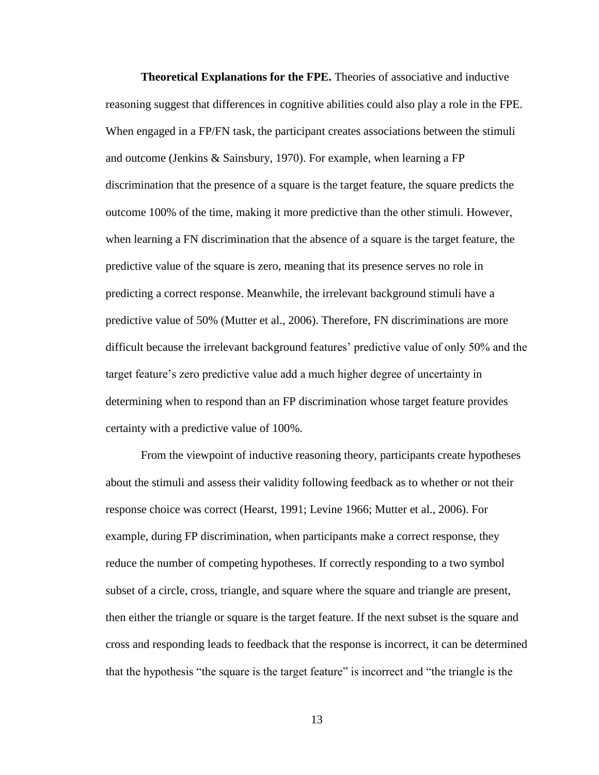**Theoretical Explanations for the FPE.** Theories of associative and inductive reasoning suggest that differences in cognitive abilities could also play a role in the FPE. When engaged in a FP/FN task, the participant creates associations between the stimuli and outcome (Jenkins & Sainsbury, 1970). For example, when learning a FP discrimination that the presence of a square is the target feature, the square predicts the outcome 100% of the time, making it more predictive than the other stimuli. However, when learning a FN discrimination that the absence of a square is the target feature, the predictive value of the square is zero, meaning that its presence serves no role in predicting a correct response. Meanwhile, the irrelevant background stimuli have a predictive value of 50% (Mutter et al., 2006). Therefore, FN discriminations are more difficult because the irrelevant background features' predictive value of only 50% and the target feature's zero predictive value add a much higher degree of uncertainty in determining when to respond than an FP discrimination whose target feature provides certainty with a predictive value of 100%.

From the viewpoint of inductive reasoning theory, participants create hypotheses about the stimuli and assess their validity following feedback as to whether or not their response choice was correct (Hearst, 1991; Levine 1966; Mutter et al., 2006). For example, during FP discrimination, when participants make a correct response, they reduce the number of competing hypotheses. If correctly responding to a two symbol subset of a circle, cross, triangle, and square where the square and triangle are present, then either the triangle or square is the target feature. If the next subset is the square and cross and responding leads to feedback that the response is incorrect, it can be determined that the hypothesis "the square is the target feature" is incorrect and "the triangle is the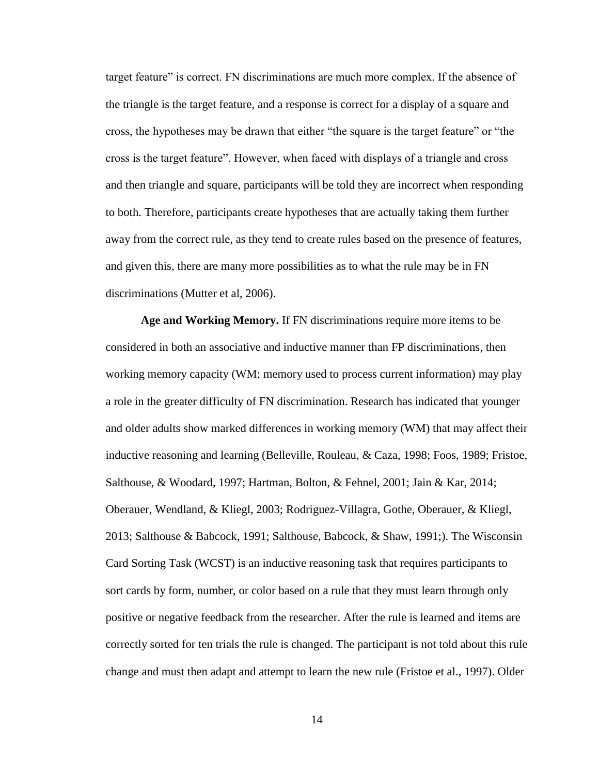target feature" is correct. FN discriminations are much more complex. If the absence of the triangle is the target feature, and a response is correct for a display of a square and cross, the hypotheses may be drawn that either "the square is the target feature" or "the cross is the target feature". However, when faced with displays of a triangle and cross and then triangle and square, participants will be told they are incorrect when responding to both. Therefore, participants create hypotheses that are actually taking them further away from the correct rule, as they tend to create rules based on the presence of features, and given this, there are many more possibilities as to what the rule may be in FN discriminations (Mutter et al, 2006).

**Age and Working Memory.** If FN discriminations require more items to be considered in both an associative and inductive manner than FP discriminations, then working memory capacity (WM; memory used to process current information) may play a role in the greater difficulty of FN discrimination. Research has indicated that younger and older adults show marked differences in working memory (WM) that may affect their inductive reasoning and learning (Belleville, Rouleau, & Caza, 1998; Foos, 1989; Fristoe, Salthouse, & Woodard, 1997; Hartman, Bolton, & Fehnel, 2001; Jain & Kar, 2014; Oberauer, Wendland, & Kliegl, 2003; Rodriguez-Villagra, Gothe, Oberauer, & Kliegl, 2013; Salthouse & Babcock, 1991; Salthouse, Babcock, & Shaw, 1991;). The Wisconsin Card Sorting Task (WCST) is an inductive reasoning task that requires participants to sort cards by form, number, or color based on a rule that they must learn through only positive or negative feedback from the researcher. After the rule is learned and items are correctly sorted for ten trials the rule is changed. The participant is not told about this rule change and must then adapt and attempt to learn the new rule (Fristoe et al., 1997). Older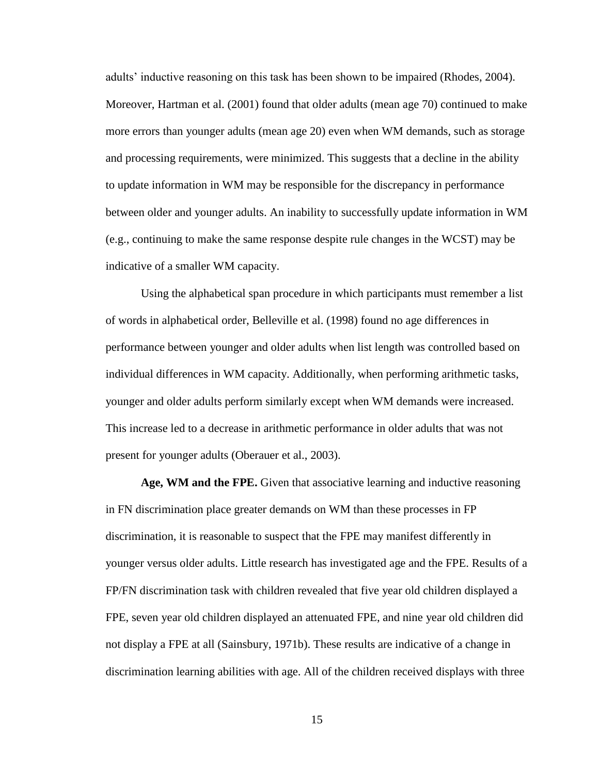adults' inductive reasoning on this task has been shown to be impaired (Rhodes, 2004). Moreover, Hartman et al. (2001) found that older adults (mean age 70) continued to make more errors than younger adults (mean age 20) even when WM demands, such as storage and processing requirements, were minimized. This suggests that a decline in the ability to update information in WM may be responsible for the discrepancy in performance between older and younger adults. An inability to successfully update information in WM (e.g., continuing to make the same response despite rule changes in the WCST) may be indicative of a smaller WM capacity.

Using the alphabetical span procedure in which participants must remember a list of words in alphabetical order, Belleville et al. (1998) found no age differences in performance between younger and older adults when list length was controlled based on individual differences in WM capacity. Additionally, when performing arithmetic tasks, younger and older adults perform similarly except when WM demands were increased. This increase led to a decrease in arithmetic performance in older adults that was not present for younger adults (Oberauer et al., 2003).

**Age, WM and the FPE.** Given that associative learning and inductive reasoning in FN discrimination place greater demands on WM than these processes in FP discrimination, it is reasonable to suspect that the FPE may manifest differently in younger versus older adults. Little research has investigated age and the FPE. Results of a FP/FN discrimination task with children revealed that five year old children displayed a FPE, seven year old children displayed an attenuated FPE, and nine year old children did not display a FPE at all (Sainsbury, 1971b). These results are indicative of a change in discrimination learning abilities with age. All of the children received displays with three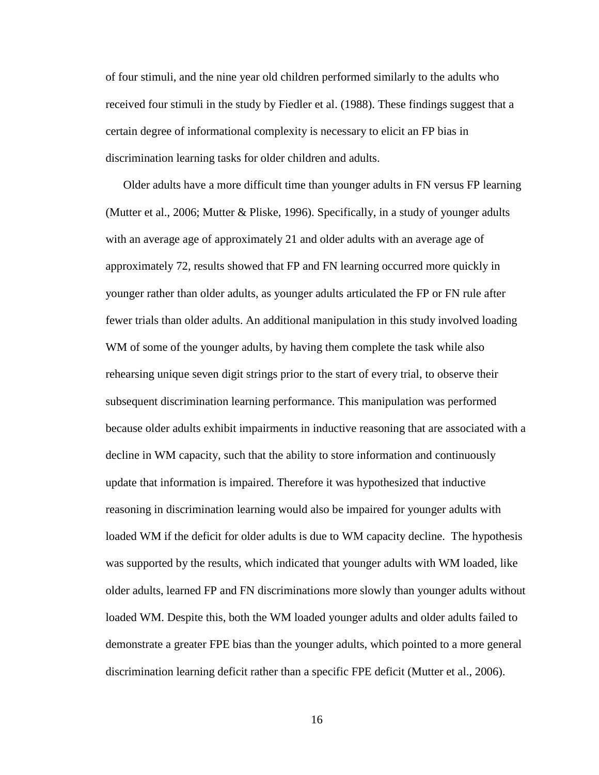of four stimuli, and the nine year old children performed similarly to the adults who received four stimuli in the study by Fiedler et al. (1988). These findings suggest that a certain degree of informational complexity is necessary to elicit an FP bias in discrimination learning tasks for older children and adults.

Older adults have a more difficult time than younger adults in FN versus FP learning (Mutter et al., 2006; Mutter & Pliske, 1996). Specifically, in a study of younger adults with an average age of approximately 21 and older adults with an average age of approximately 72, results showed that FP and FN learning occurred more quickly in younger rather than older adults, as younger adults articulated the FP or FN rule after fewer trials than older adults. An additional manipulation in this study involved loading WM of some of the younger adults, by having them complete the task while also rehearsing unique seven digit strings prior to the start of every trial, to observe their subsequent discrimination learning performance. This manipulation was performed because older adults exhibit impairments in inductive reasoning that are associated with a decline in WM capacity, such that the ability to store information and continuously update that information is impaired. Therefore it was hypothesized that inductive reasoning in discrimination learning would also be impaired for younger adults with loaded WM if the deficit for older adults is due to WM capacity decline. The hypothesis was supported by the results, which indicated that younger adults with WM loaded, like older adults, learned FP and FN discriminations more slowly than younger adults without loaded WM. Despite this, both the WM loaded younger adults and older adults failed to demonstrate a greater FPE bias than the younger adults, which pointed to a more general discrimination learning deficit rather than a specific FPE deficit (Mutter et al., 2006).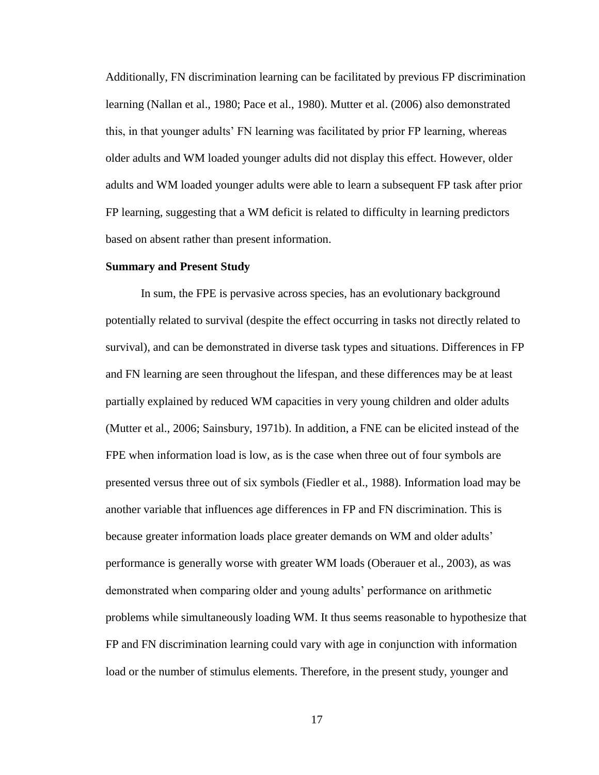Additionally, FN discrimination learning can be facilitated by previous FP discrimination learning (Nallan et al., 1980; Pace et al., 1980). Mutter et al. (2006) also demonstrated this, in that younger adults' FN learning was facilitated by prior FP learning, whereas older adults and WM loaded younger adults did not display this effect. However, older adults and WM loaded younger adults were able to learn a subsequent FP task after prior FP learning, suggesting that a WM deficit is related to difficulty in learning predictors based on absent rather than present information.

#### **Summary and Present Study**

In sum, the FPE is pervasive across species, has an evolutionary background potentially related to survival (despite the effect occurring in tasks not directly related to survival), and can be demonstrated in diverse task types and situations. Differences in FP and FN learning are seen throughout the lifespan, and these differences may be at least partially explained by reduced WM capacities in very young children and older adults (Mutter et al., 2006; Sainsbury, 1971b). In addition, a FNE can be elicited instead of the FPE when information load is low, as is the case when three out of four symbols are presented versus three out of six symbols (Fiedler et al., 1988). Information load may be another variable that influences age differences in FP and FN discrimination. This is because greater information loads place greater demands on WM and older adults' performance is generally worse with greater WM loads (Oberauer et al., 2003), as was demonstrated when comparing older and young adults' performance on arithmetic problems while simultaneously loading WM. It thus seems reasonable to hypothesize that FP and FN discrimination learning could vary with age in conjunction with information load or the number of stimulus elements. Therefore, in the present study, younger and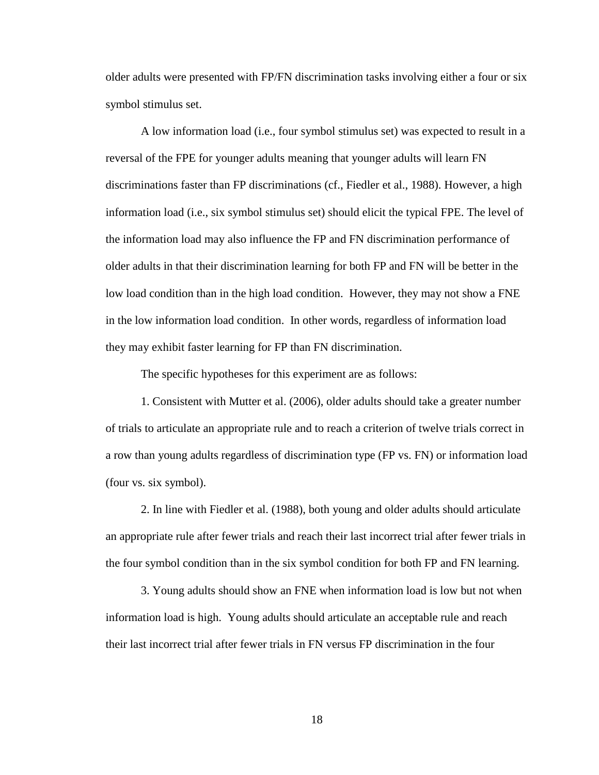older adults were presented with FP/FN discrimination tasks involving either a four or six symbol stimulus set.

A low information load (i.e., four symbol stimulus set) was expected to result in a reversal of the FPE for younger adults meaning that younger adults will learn FN discriminations faster than FP discriminations (cf., Fiedler et al., 1988). However, a high information load (i.e., six symbol stimulus set) should elicit the typical FPE. The level of the information load may also influence the FP and FN discrimination performance of older adults in that their discrimination learning for both FP and FN will be better in the low load condition than in the high load condition. However, they may not show a FNE in the low information load condition. In other words, regardless of information load they may exhibit faster learning for FP than FN discrimination.

The specific hypotheses for this experiment are as follows:

1. Consistent with Mutter et al. (2006), older adults should take a greater number of trials to articulate an appropriate rule and to reach a criterion of twelve trials correct in a row than young adults regardless of discrimination type (FP vs. FN) or information load (four vs. six symbol).

2. In line with Fiedler et al. (1988), both young and older adults should articulate an appropriate rule after fewer trials and reach their last incorrect trial after fewer trials in the four symbol condition than in the six symbol condition for both FP and FN learning.

3. Young adults should show an FNE when information load is low but not when information load is high. Young adults should articulate an acceptable rule and reach their last incorrect trial after fewer trials in FN versus FP discrimination in the four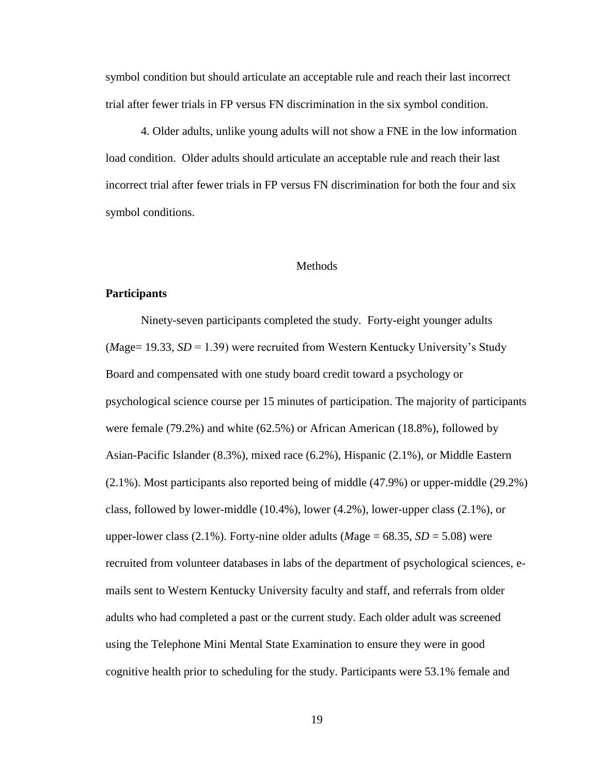symbol condition but should articulate an acceptable rule and reach their last incorrect trial after fewer trials in FP versus FN discrimination in the six symbol condition.

4. Older adults, unlike young adults will not show a FNE in the low information load condition. Older adults should articulate an acceptable rule and reach their last incorrect trial after fewer trials in FP versus FN discrimination for both the four and six symbol conditions.

#### Methods

#### <span id="page-27-0"></span>**Participants**

Ninety-seven participants completed the study. Forty-eight younger adults (*M*age= 19.33, *SD* = 1.39) were recruited from Western Kentucky University's Study Board and compensated with one study board credit toward a psychology or psychological science course per 15 minutes of participation. The majority of participants were female (79.2%) and white (62.5%) or African American (18.8%), followed by Asian-Pacific Islander (8.3%), mixed race (6.2%), Hispanic (2.1%), or Middle Eastern (2.1%). Most participants also reported being of middle (47.9%) or upper-middle (29.2%) class, followed by lower-middle (10.4%), lower (4.2%), lower-upper class (2.1%), or upper-lower class  $(2.1\%)$ . Forty-nine older adults (*Mage* = 68.35, *SD* = 5.08) were recruited from volunteer databases in labs of the department of psychological sciences, emails sent to Western Kentucky University faculty and staff, and referrals from older adults who had completed a past or the current study. Each older adult was screened using the Telephone Mini Mental State Examination to ensure they were in good cognitive health prior to scheduling for the study. Participants were 53.1% female and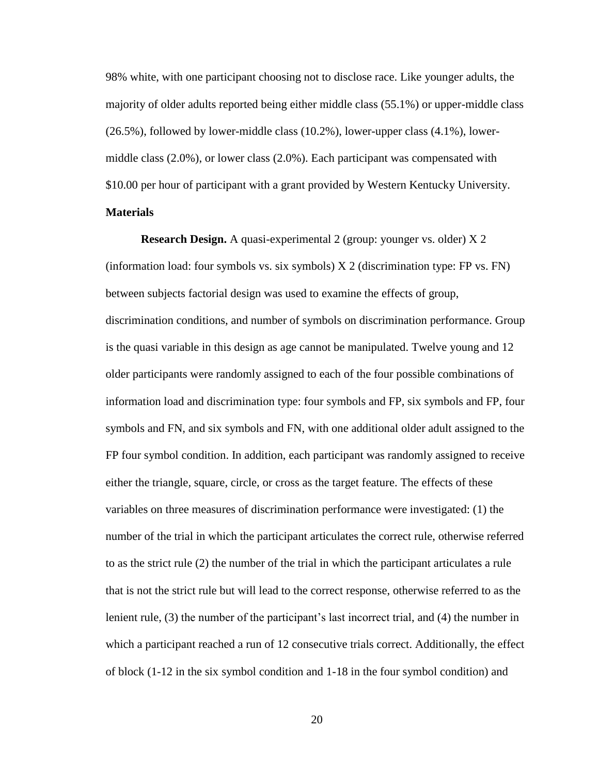98% white, with one participant choosing not to disclose race. Like younger adults, the majority of older adults reported being either middle class (55.1%) or upper-middle class (26.5%), followed by lower-middle class (10.2%), lower-upper class (4.1%), lowermiddle class (2.0%), or lower class (2.0%). Each participant was compensated with \$10.00 per hour of participant with a grant provided by Western Kentucky University. **Materials**

**Research Design.** A quasi-experimental 2 (group: younger vs. older) X 2 (information load: four symbols vs. six symbols) X 2 (discrimination type: FP vs. FN) between subjects factorial design was used to examine the effects of group, discrimination conditions, and number of symbols on discrimination performance. Group is the quasi variable in this design as age cannot be manipulated. Twelve young and 12 older participants were randomly assigned to each of the four possible combinations of information load and discrimination type: four symbols and FP, six symbols and FP, four symbols and FN, and six symbols and FN, with one additional older adult assigned to the FP four symbol condition. In addition, each participant was randomly assigned to receive either the triangle, square, circle, or cross as the target feature. The effects of these variables on three measures of discrimination performance were investigated: (1) the number of the trial in which the participant articulates the correct rule, otherwise referred to as the strict rule (2) the number of the trial in which the participant articulates a rule that is not the strict rule but will lead to the correct response, otherwise referred to as the lenient rule, (3) the number of the participant's last incorrect trial, and (4) the number in which a participant reached a run of 12 consecutive trials correct. Additionally, the effect of block (1-12 in the six symbol condition and 1-18 in the four symbol condition) and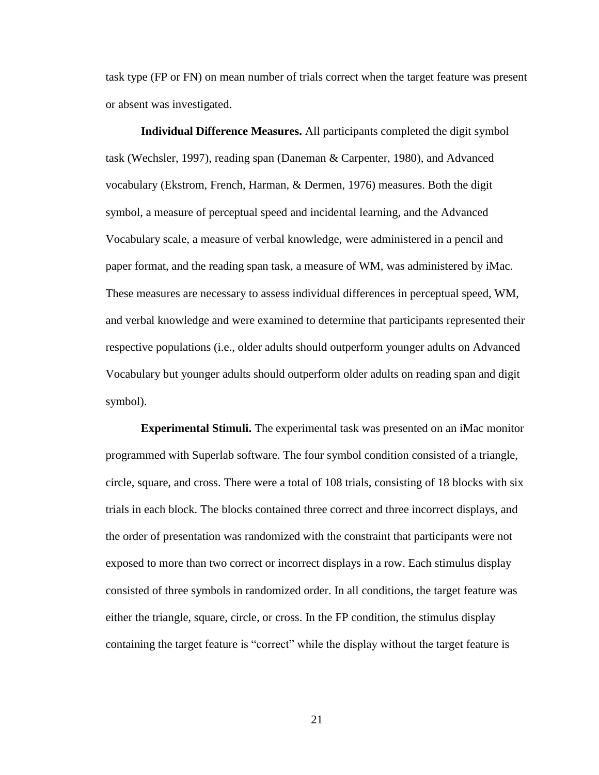task type (FP or FN) on mean number of trials correct when the target feature was present or absent was investigated.

**Individual Difference Measures.** All participants completed the digit symbol task (Wechsler, 1997), reading span (Daneman & Carpenter, 1980), and Advanced vocabulary (Ekstrom, French, Harman, & Dermen, 1976) measures. Both the digit symbol, a measure of perceptual speed and incidental learning, and the Advanced Vocabulary scale, a measure of verbal knowledge, were administered in a pencil and paper format, and the reading span task, a measure of WM, was administered by iMac. These measures are necessary to assess individual differences in perceptual speed, WM, and verbal knowledge and were examined to determine that participants represented their respective populations (i.e., older adults should outperform younger adults on Advanced Vocabulary but younger adults should outperform older adults on reading span and digit symbol).

**Experimental Stimuli.** The experimental task was presented on an iMac monitor programmed with Superlab software. The four symbol condition consisted of a triangle, circle, square, and cross. There were a total of 108 trials, consisting of 18 blocks with six trials in each block. The blocks contained three correct and three incorrect displays, and the order of presentation was randomized with the constraint that participants were not exposed to more than two correct or incorrect displays in a row. Each stimulus display consisted of three symbols in randomized order. In all conditions, the target feature was either the triangle, square, circle, or cross. In the FP condition, the stimulus display containing the target feature is "correct" while the display without the target feature is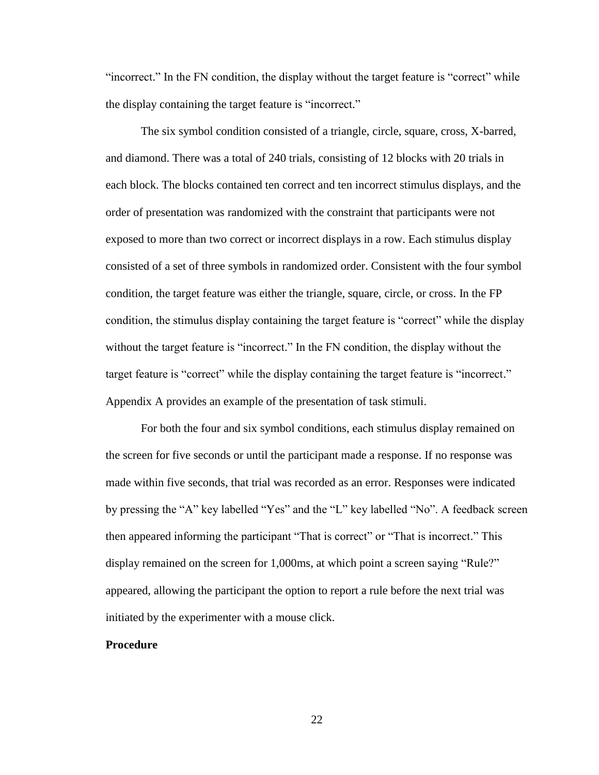"incorrect." In the FN condition, the display without the target feature is "correct" while the display containing the target feature is "incorrect."

The six symbol condition consisted of a triangle, circle, square, cross, X-barred, and diamond. There was a total of 240 trials, consisting of 12 blocks with 20 trials in each block. The blocks contained ten correct and ten incorrect stimulus displays, and the order of presentation was randomized with the constraint that participants were not exposed to more than two correct or incorrect displays in a row. Each stimulus display consisted of a set of three symbols in randomized order. Consistent with the four symbol condition, the target feature was either the triangle, square, circle, or cross. In the FP condition, the stimulus display containing the target feature is "correct" while the display without the target feature is "incorrect." In the FN condition, the display without the target feature is "correct" while the display containing the target feature is "incorrect." Appendix A provides an example of the presentation of task stimuli.

For both the four and six symbol conditions, each stimulus display remained on the screen for five seconds or until the participant made a response. If no response was made within five seconds, that trial was recorded as an error. Responses were indicated by pressing the "A" key labelled "Yes" and the "L" key labelled "No". A feedback screen then appeared informing the participant "That is correct" or "That is incorrect." This display remained on the screen for 1,000ms, at which point a screen saying "Rule?" appeared, allowing the participant the option to report a rule before the next trial was initiated by the experimenter with a mouse click.

#### **Procedure**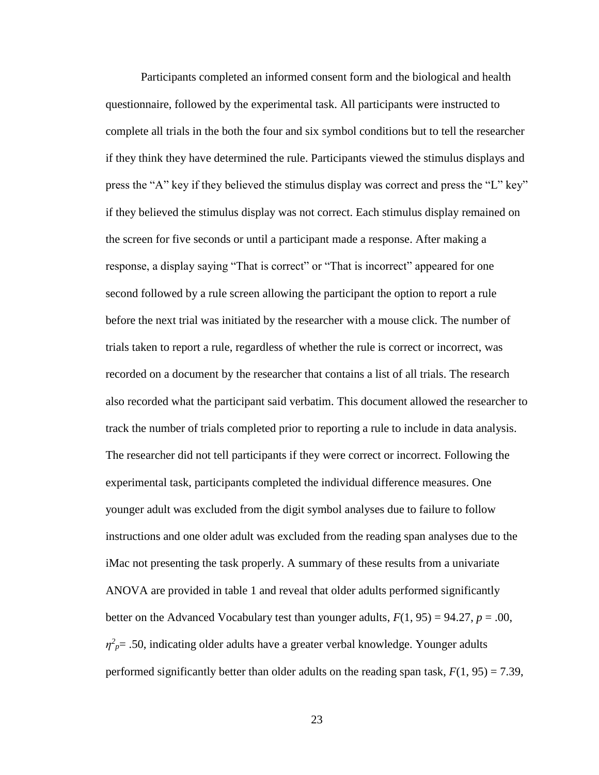Participants completed an informed consent form and the biological and health questionnaire, followed by the experimental task. All participants were instructed to complete all trials in the both the four and six symbol conditions but to tell the researcher if they think they have determined the rule. Participants viewed the stimulus displays and press the "A" key if they believed the stimulus display was correct and press the "L" key" if they believed the stimulus display was not correct. Each stimulus display remained on the screen for five seconds or until a participant made a response. After making a response, a display saying "That is correct" or "That is incorrect" appeared for one second followed by a rule screen allowing the participant the option to report a rule before the next trial was initiated by the researcher with a mouse click. The number of trials taken to report a rule, regardless of whether the rule is correct or incorrect, was recorded on a document by the researcher that contains a list of all trials. The research also recorded what the participant said verbatim. This document allowed the researcher to track the number of trials completed prior to reporting a rule to include in data analysis. The researcher did not tell participants if they were correct or incorrect. Following the experimental task, participants completed the individual difference measures. One younger adult was excluded from the digit symbol analyses due to failure to follow instructions and one older adult was excluded from the reading span analyses due to the iMac not presenting the task properly. A summary of these results from a univariate ANOVA are provided in table 1 and reveal that older adults performed significantly better on the Advanced Vocabulary test than younger adults,  $F(1, 95) = 94.27$ ,  $p = .00$ ,  $\eta^2_{\mu}$  = .50, indicating older adults have a greater verbal knowledge. Younger adults performed significantly better than older adults on the reading span task,  $F(1, 95) = 7.39$ ,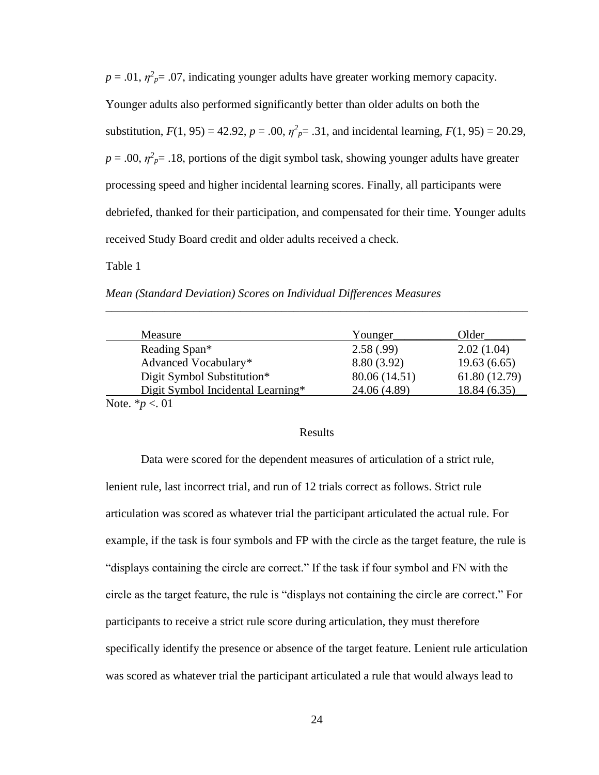$p = .01$ ,  $\eta^2 p = .07$ , indicating younger adults have greater working memory capacity. Younger adults also performed significantly better than older adults on both the substitution,  $F(1, 95) = 42.92$ ,  $p = .00$ ,  $\eta^2 p = .31$ , and incidental learning,  $F(1, 95) = 20.29$ ,  $p = .00$ ,  $\eta^2 p = .18$ , portions of the digit symbol task, showing younger adults have greater processing speed and higher incidental learning scores. Finally, all participants were debriefed, thanked for their participation, and compensated for their time. Younger adults received Study Board credit and older adults received a check.

Table 1

*Mean (Standard Deviation) Scores on Individual Differences Measures*

| Measure                           | Younger       | Older         |
|-----------------------------------|---------------|---------------|
| Reading Span*                     | 2.58(.99)     | 2.02(1.04)    |
| Advanced Vocabulary*              | 8.80 (3.92)   | 19.63(6.65)   |
| Digit Symbol Substitution*        | 80.06 (14.51) | 61.80 (12.79) |
| Digit Symbol Incidental Learning* | 24.06 (4.89)  | 18.84 (6.35)  |
| Note. $* p < 01$                  |               |               |

\_\_\_\_\_\_\_\_\_\_\_\_\_\_\_\_\_\_\_\_\_\_\_\_\_\_\_\_\_\_\_\_\_\_\_\_\_\_\_\_\_\_\_\_\_\_\_\_\_\_\_\_\_\_\_\_\_\_\_\_\_\_\_\_\_\_\_\_\_\_\_\_

#### Results

Data were scored for the dependent measures of articulation of a strict rule, lenient rule, last incorrect trial, and run of 12 trials correct as follows. Strict rule articulation was scored as whatever trial the participant articulated the actual rule. For example, if the task is four symbols and FP with the circle as the target feature, the rule is "displays containing the circle are correct." If the task if four symbol and FN with the circle as the target feature, the rule is "displays not containing the circle are correct." For participants to receive a strict rule score during articulation, they must therefore specifically identify the presence or absence of the target feature. Lenient rule articulation was scored as whatever trial the participant articulated a rule that would always lead to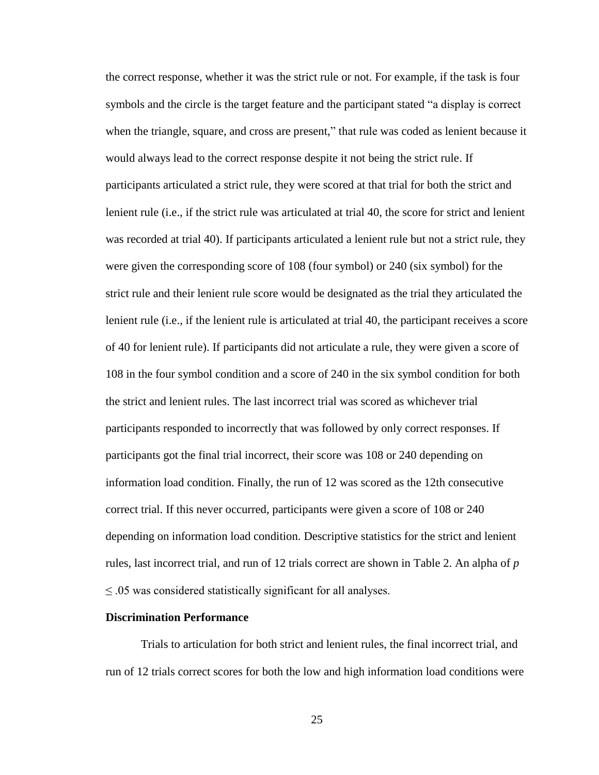the correct response, whether it was the strict rule or not. For example, if the task is four symbols and the circle is the target feature and the participant stated "a display is correct when the triangle, square, and cross are present," that rule was coded as lenient because it would always lead to the correct response despite it not being the strict rule. If participants articulated a strict rule, they were scored at that trial for both the strict and lenient rule (i.e., if the strict rule was articulated at trial 40, the score for strict and lenient was recorded at trial 40). If participants articulated a lenient rule but not a strict rule, they were given the corresponding score of 108 (four symbol) or 240 (six symbol) for the strict rule and their lenient rule score would be designated as the trial they articulated the lenient rule (i.e., if the lenient rule is articulated at trial 40, the participant receives a score of 40 for lenient rule). If participants did not articulate a rule, they were given a score of 108 in the four symbol condition and a score of 240 in the six symbol condition for both the strict and lenient rules. The last incorrect trial was scored as whichever trial participants responded to incorrectly that was followed by only correct responses. If participants got the final trial incorrect, their score was 108 or 240 depending on information load condition. Finally, the run of 12 was scored as the 12th consecutive correct trial. If this never occurred, participants were given a score of 108 or 240 depending on information load condition. Descriptive statistics for the strict and lenient rules, last incorrect trial, and run of 12 trials correct are shown in Table 2. An alpha of *p* ≤ .05 was considered statistically significant for all analyses.

#### **Discrimination Performance**

Trials to articulation for both strict and lenient rules, the final incorrect trial, and run of 12 trials correct scores for both the low and high information load conditions were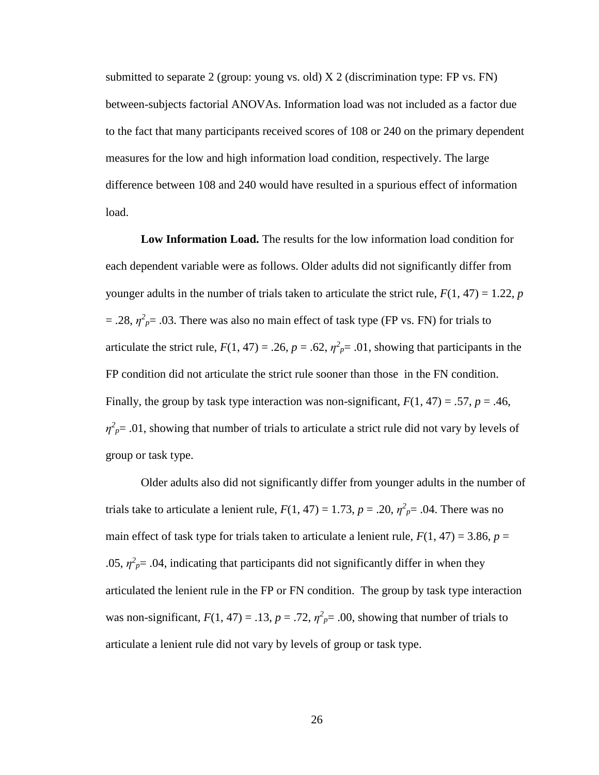submitted to separate 2 (group: young vs. old)  $X$  2 (discrimination type: FP vs. FN) between-subjects factorial ANOVAs. Information load was not included as a factor due to the fact that many participants received scores of 108 or 240 on the primary dependent measures for the low and high information load condition, respectively. The large difference between 108 and 240 would have resulted in a spurious effect of information load.

**Low Information Load.** The results for the low information load condition for each dependent variable were as follows. Older adults did not significantly differ from younger adults in the number of trials taken to articulate the strict rule,  $F(1, 47) = 1.22$ , *p*  $= .28$ ,  $\eta^2 p = .03$ . There was also no main effect of task type (FP vs. FN) for trials to articulate the strict rule,  $F(1, 47) = .26$ ,  $p = .62$ ,  $\eta^2 p = .01$ , showing that participants in the FP condition did not articulate the strict rule sooner than those in the FN condition. Finally, the group by task type interaction was non-significant,  $F(1, 47) = .57$ ,  $p = .46$ ,  $\eta^2 p = 0.01$ , showing that number of trials to articulate a strict rule did not vary by levels of group or task type.

Older adults also did not significantly differ from younger adults in the number of trials take to articulate a lenient rule,  $F(1, 47) = 1.73$ ,  $p = .20$ ,  $\eta^2_{p} = .04$ . There was no main effect of task type for trials taken to articulate a lenient rule,  $F(1, 47) = 3.86$ ,  $p =$ .05,  $\eta^2 p = 0.04$ , indicating that participants did not significantly differ in when they articulated the lenient rule in the FP or FN condition. The group by task type interaction was non-significant,  $F(1, 47) = .13$ ,  $p = .72$ ,  $\eta^2 p = .00$ , showing that number of trials to articulate a lenient rule did not vary by levels of group or task type.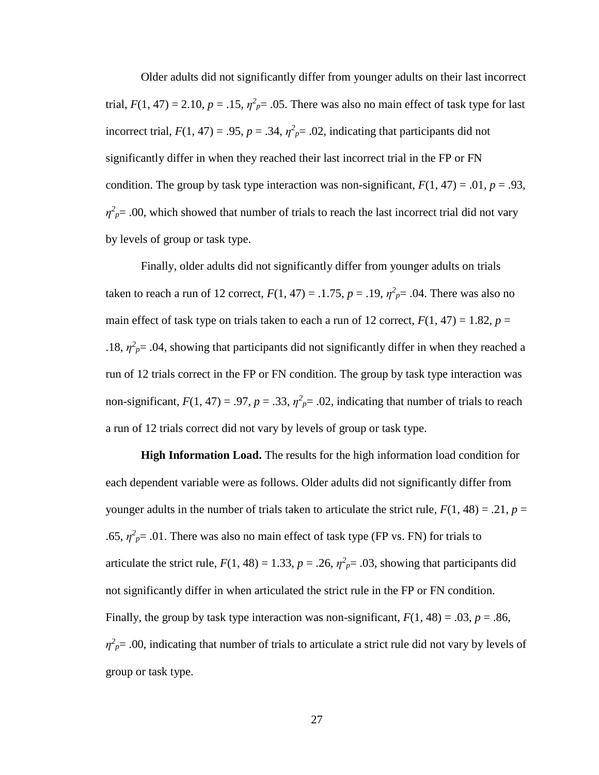Older adults did not significantly differ from younger adults on their last incorrect trial,  $F(1, 47) = 2.10$ ,  $p = .15$ ,  $\eta^2 p = .05$ . There was also no main effect of task type for last incorrect trial,  $F(1, 47) = .95$ ,  $p = .34$ ,  $\eta^2 p = .02$ , indicating that participants did not significantly differ in when they reached their last incorrect trial in the FP or FN condition. The group by task type interaction was non-significant,  $F(1, 47) = .01$ ,  $p = .93$ ,  $\eta^2 p = 0.00$ , which showed that number of trials to reach the last incorrect trial did not vary by levels of group or task type.

Finally, older adults did not significantly differ from younger adults on trials taken to reach a run of 12 correct,  $F(1, 47) = .1.75$ ,  $p = .19$ ,  $\eta^2_{p} = .04$ . There was also no main effect of task type on trials taken to each a run of 12 correct,  $F(1, 47) = 1.82$ ,  $p =$ .18,  $\eta^2 p = 0.04$ , showing that participants did not significantly differ in when they reached a run of 12 trials correct in the FP or FN condition. The group by task type interaction was non-significant,  $F(1, 47) = .97$ ,  $p = .33$ ,  $\eta^2 p = .02$ , indicating that number of trials to reach a run of 12 trials correct did not vary by levels of group or task type.

**High Information Load.** The results for the high information load condition for each dependent variable were as follows. Older adults did not significantly differ from younger adults in the number of trials taken to articulate the strict rule,  $F(1, 48) = .21$ ,  $p =$ .65,  $\eta^2 p = 0.01$ . There was also no main effect of task type (FP vs. FN) for trials to articulate the strict rule,  $F(1, 48) = 1.33$ ,  $p = .26$ ,  $\eta^2 p = .03$ , showing that participants did not significantly differ in when articulated the strict rule in the FP or FN condition. Finally, the group by task type interaction was non-significant,  $F(1, 48) = .03$ ,  $p = .86$ ,  $\eta^2 p = 0.00$ , indicating that number of trials to articulate a strict rule did not vary by levels of group or task type.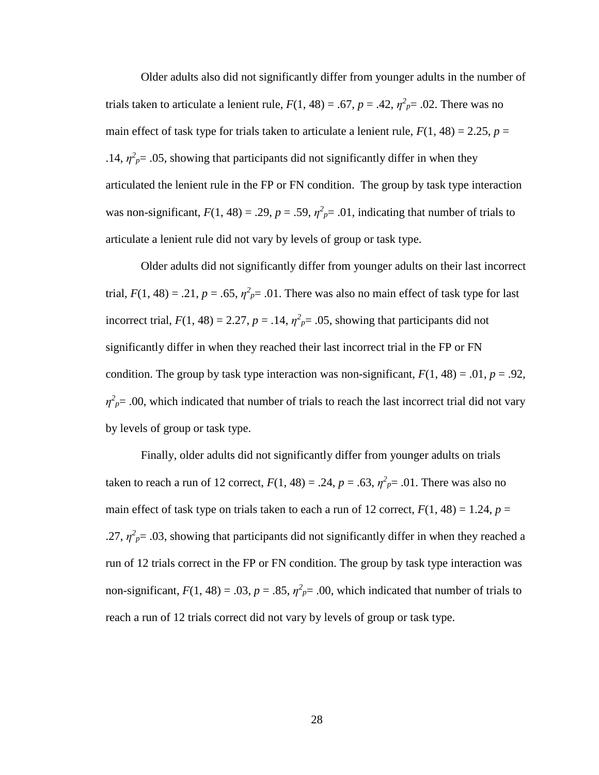Older adults also did not significantly differ from younger adults in the number of trials taken to articulate a lenient rule,  $F(1, 48) = .67$ ,  $p = .42$ ,  $\eta^2_{p} = .02$ . There was no main effect of task type for trials taken to articulate a lenient rule,  $F(1, 48) = 2.25$ ,  $p =$ .14,  $\eta^2 p = 0.05$ , showing that participants did not significantly differ in when they articulated the lenient rule in the FP or FN condition. The group by task type interaction was non-significant,  $F(1, 48) = .29$ ,  $p = .59$ ,  $\eta^2 p = .01$ , indicating that number of trials to articulate a lenient rule did not vary by levels of group or task type.

Older adults did not significantly differ from younger adults on their last incorrect trial,  $F(1, 48) = .21$ ,  $p = .65$ ,  $\eta^2 p = .01$ . There was also no main effect of task type for last incorrect trial,  $F(1, 48) = 2.27$ ,  $p = .14$ ,  $\eta^2 p = .05$ , showing that participants did not significantly differ in when they reached their last incorrect trial in the FP or FN condition. The group by task type interaction was non-significant,  $F(1, 48) = .01$ ,  $p = .92$ ,  $\eta^2_{\ p}$  = .00, which indicated that number of trials to reach the last incorrect trial did not vary by levels of group or task type.

Finally, older adults did not significantly differ from younger adults on trials taken to reach a run of 12 correct,  $F(1, 48) = .24$ ,  $p = .63$ ,  $\eta^2_{p} = .01$ . There was also no main effect of task type on trials taken to each a run of 12 correct,  $F(1, 48) = 1.24$ ,  $p =$ .27,  $\eta^2_{\rho}$  = .03, showing that participants did not significantly differ in when they reached a run of 12 trials correct in the FP or FN condition. The group by task type interaction was non-significant,  $F(1, 48) = .03$ ,  $p = .85$ ,  $\eta^2 p = .00$ , which indicated that number of trials to reach a run of 12 trials correct did not vary by levels of group or task type.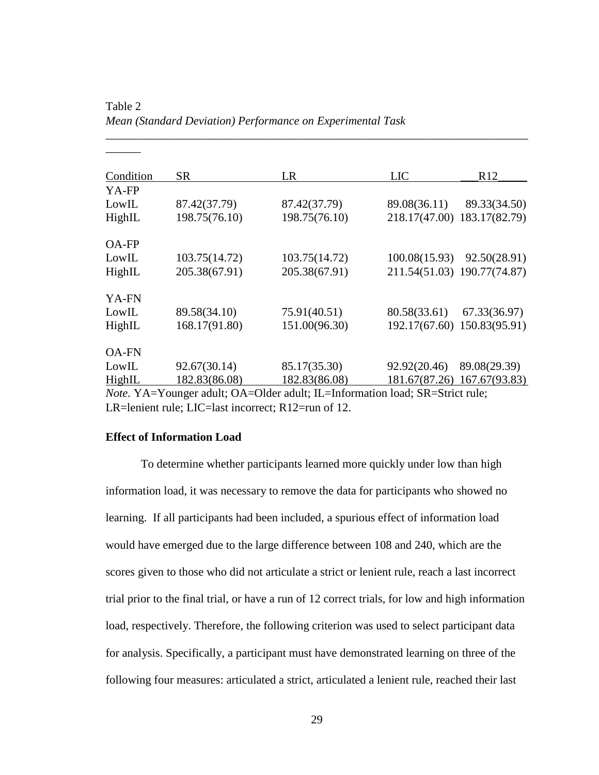| Condition                                                                           | SR            | LR            | <b>LIC</b>    | R12                         |
|-------------------------------------------------------------------------------------|---------------|---------------|---------------|-----------------------------|
| YA-FP                                                                               |               |               |               |                             |
| LowIL                                                                               | 87.42(37.79)  | 87.42(37.79)  | 89.08(36.11)  | 89.33(34.50)                |
| HighIL                                                                              | 198.75(76.10) | 198.75(76.10) |               | 218.17(47.00) 183.17(82.79) |
| <b>OA-FP</b>                                                                        |               |               |               |                             |
| LowIL                                                                               | 103.75(14.72) | 103.75(14.72) | 100.08(15.93) | 92.50(28.91)                |
| HighIL                                                                              | 205.38(67.91) | 205.38(67.91) |               | 211.54(51.03) 190.77(74.87) |
| YA-FN                                                                               |               |               |               |                             |
| LowIL                                                                               | 89.58(34.10)  | 75.91(40.51)  | 80.58(33.61)  | 67.33(36.97)                |
| HighIL                                                                              | 168.17(91.80) | 151.00(96.30) |               | 192.17(67.60) 150.83(95.91) |
| <b>OA-FN</b>                                                                        |               |               |               |                             |
| LowIL                                                                               | 92.67(30.14)  | 85.17(35.30)  | 92.92(20.46)  | 89.08(29.39)                |
| HighIL                                                                              | 182.83(86.08) | 182.83(86.08) |               | 181.67(87.26) 167.67(93.83) |
| <i>Note.</i> YA=Younger adult; OA=Older adult; IL=Information load; SR=Strict rule; |               |               |               |                             |

\_\_\_\_\_\_\_\_\_\_\_\_\_\_\_\_\_\_\_\_\_\_\_\_\_\_\_\_\_\_\_\_\_\_\_\_\_\_\_\_\_\_\_\_\_\_\_\_\_\_\_\_\_\_\_\_\_\_\_\_\_\_\_\_\_\_\_\_\_\_\_\_

Table 2 *Mean (Standard Deviation) Performance on Experimental Task*

*Note.* YA=Younger adult; OA=Older adult; IL=Information load; SR=Strict rule; LR=lenient rule; LIC=last incorrect; R12=run of 12.

#### **Effect of Information Load**

\_\_\_\_\_\_

To determine whether participants learned more quickly under low than high information load, it was necessary to remove the data for participants who showed no learning. If all participants had been included, a spurious effect of information load would have emerged due to the large difference between 108 and 240, which are the scores given to those who did not articulate a strict or lenient rule, reach a last incorrect trial prior to the final trial, or have a run of 12 correct trials, for low and high information load, respectively. Therefore, the following criterion was used to select participant data for analysis. Specifically, a participant must have demonstrated learning on three of the following four measures: articulated a strict, articulated a lenient rule, reached their last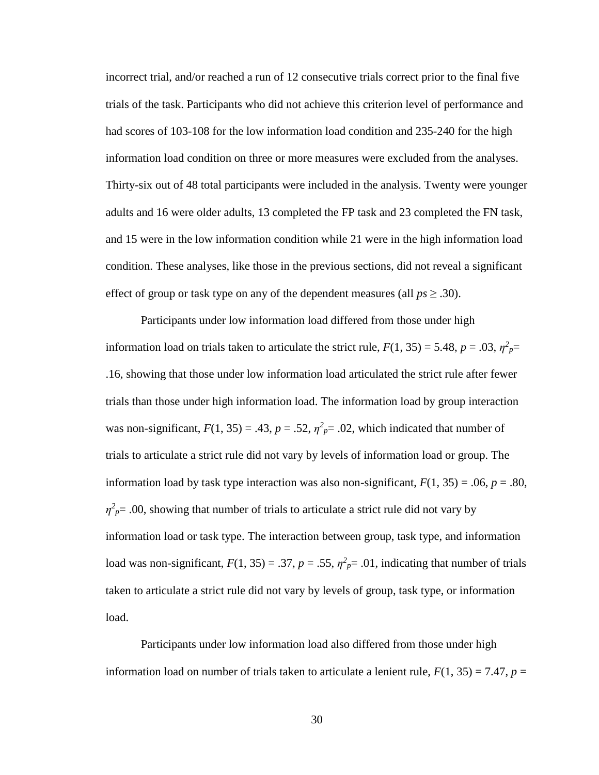incorrect trial, and/or reached a run of 12 consecutive trials correct prior to the final five trials of the task. Participants who did not achieve this criterion level of performance and had scores of 103-108 for the low information load condition and 235-240 for the high information load condition on three or more measures were excluded from the analyses. Thirty-six out of 48 total participants were included in the analysis. Twenty were younger adults and 16 were older adults, 13 completed the FP task and 23 completed the FN task, and 15 were in the low information condition while 21 were in the high information load condition. These analyses, like those in the previous sections, did not reveal a significant effect of group or task type on any of the dependent measures (all  $ps \geq .30$ ).

Participants under low information load differed from those under high information load on trials taken to articulate the strict rule,  $F(1, 35) = 5.48$ ,  $p = .03$ ,  $\eta^2 p =$ .16, showing that those under low information load articulated the strict rule after fewer trials than those under high information load. The information load by group interaction was non-significant,  $F(1, 35) = .43$ ,  $p = .52$ ,  $\eta^2 p = .02$ , which indicated that number of trials to articulate a strict rule did not vary by levels of information load or group. The information load by task type interaction was also non-significant,  $F(1, 35) = .06$ ,  $p = .80$ ,  $\eta^2 p = 0.00$ , showing that number of trials to articulate a strict rule did not vary by information load or task type. The interaction between group, task type, and information load was non-significant,  $F(1, 35) = .37$ ,  $p = .55$ ,  $\eta^2 p = .01$ , indicating that number of trials taken to articulate a strict rule did not vary by levels of group, task type, or information load.

Participants under low information load also differed from those under high information load on number of trials taken to articulate a lenient rule,  $F(1, 35) = 7.47$ ,  $p =$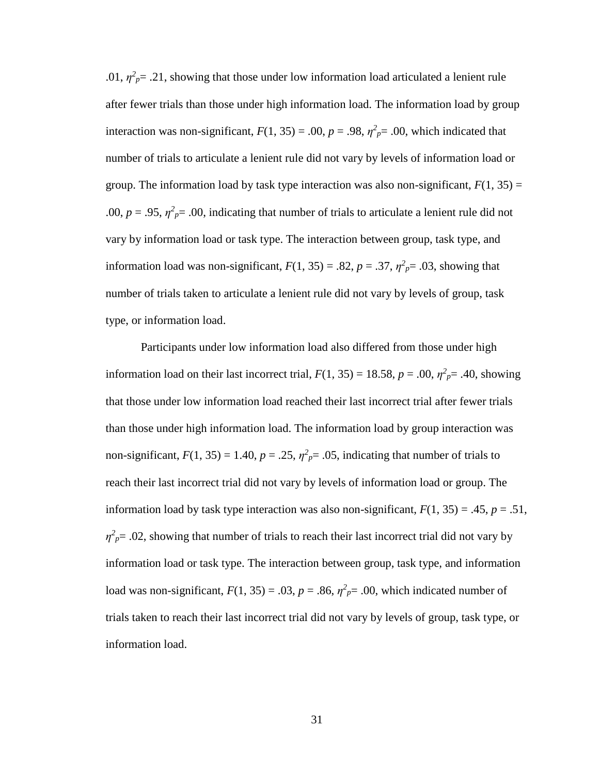.01,  $\eta^2 p = 0.21$ , showing that those under low information load articulated a lenient rule after fewer trials than those under high information load. The information load by group interaction was non-significant,  $F(1, 35) = .00$ ,  $p = .98$ ,  $\eta^2 p = .00$ , which indicated that number of trials to articulate a lenient rule did not vary by levels of information load or group. The information load by task type interaction was also non-significant,  $F(1, 35) =$ .00,  $p = .95$ ,  $\eta^2 p = .00$ , indicating that number of trials to articulate a lenient rule did not vary by information load or task type. The interaction between group, task type, and information load was non-significant,  $F(1, 35) = .82$ ,  $p = .37$ ,  $\eta^2_{p} = .03$ , showing that number of trials taken to articulate a lenient rule did not vary by levels of group, task type, or information load.

Participants under low information load also differed from those under high information load on their last incorrect trial,  $F(1, 35) = 18.58$ ,  $p = .00$ ,  $\eta^2 p = .40$ , showing that those under low information load reached their last incorrect trial after fewer trials than those under high information load. The information load by group interaction was non-significant,  $F(1, 35) = 1.40$ ,  $p = .25$ ,  $\eta^2 p = .05$ , indicating that number of trials to reach their last incorrect trial did not vary by levels of information load or group. The information load by task type interaction was also non-significant,  $F(1, 35) = .45$ ,  $p = .51$ ,  $\eta^2_{\ p}$  = .02, showing that number of trials to reach their last incorrect trial did not vary by information load or task type. The interaction between group, task type, and information load was non-significant,  $F(1, 35) = .03$ ,  $p = .86$ ,  $\eta^2 p = .00$ , which indicated number of trials taken to reach their last incorrect trial did not vary by levels of group, task type, or information load.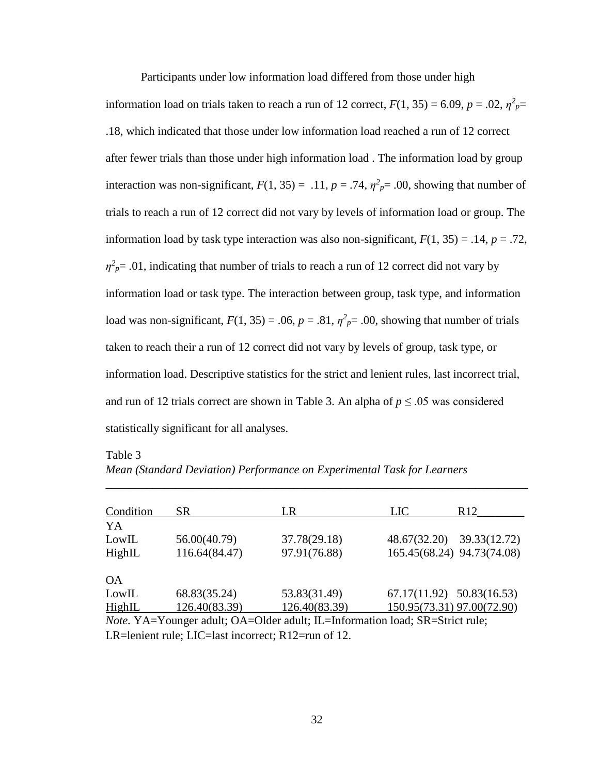Participants under low information load differed from those under high

information load on trials taken to reach a run of 12 correct,  $F(1, 35) = 6.09$ ,  $p = .02$ ,  $\eta^2 p =$ .18, which indicated that those under low information load reached a run of 12 correct after fewer trials than those under high information load . The information load by group interaction was non-significant,  $F(1, 35) = .11$ ,  $p = .74$ ,  $\eta^2 p = .00$ , showing that number of trials to reach a run of 12 correct did not vary by levels of information load or group. The information load by task type interaction was also non-significant,  $F(1, 35) = .14$ ,  $p = .72$ ,  $\eta^2_{\rho}$  = .01, indicating that number of trials to reach a run of 12 correct did not vary by information load or task type. The interaction between group, task type, and information load was non-significant,  $F(1, 35) = .06$ ,  $p = .81$ ,  $\eta^2 p = .00$ , showing that number of trials taken to reach their a run of 12 correct did not vary by levels of group, task type, or information load. Descriptive statistics for the strict and lenient rules, last incorrect trial, and run of 12 trials correct are shown in Table 3. An alpha of  $p \leq 0.05$  was considered statistically significant for all analyses.

| Table 3                                                                 |  |
|-------------------------------------------------------------------------|--|
| Mean (Standard Deviation) Performance on Experimental Task for Learners |  |
|                                                                         |  |

| Condition                                                                    | SR.           | LR            | <b>LIC</b>                    | R <sub>12</sub> |
|------------------------------------------------------------------------------|---------------|---------------|-------------------------------|-----------------|
| YA                                                                           |               |               |                               |                 |
| LowIL                                                                        | 56.00(40.79)  | 37.78(29.18)  | 48.67(32.20)                  | 39.33(12.72)    |
| HighIL                                                                       | 116.64(84.47) | 97.91(76.88)  | 165.45(68.24) 94.73(74.08)    |                 |
|                                                                              |               |               |                               |                 |
| <b>OA</b>                                                                    |               |               |                               |                 |
| LowIL                                                                        | 68.83(35.24)  | 53.83(31.49)  | $67.17(11.92)$ $50.83(16.53)$ |                 |
| HighIL                                                                       | 126.40(83.39) | 126.40(83.39) | 150.95(73.31) 97.00(72.90)    |                 |
| Note. YA=Younger adult; OA=Older adult; IL=Information load; SR=Strict rule; |               |               |                               |                 |

LR=lenient rule; LIC=last incorrect; R12=run of 12.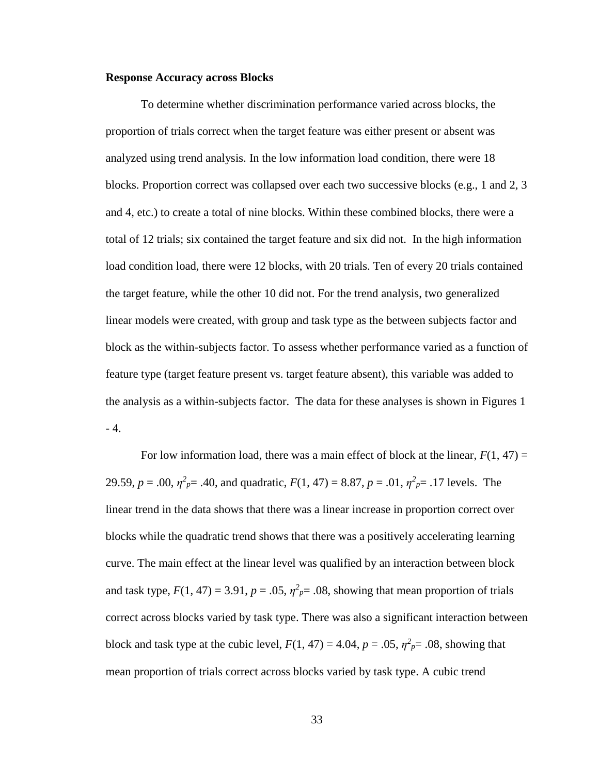#### **Response Accuracy across Blocks**

To determine whether discrimination performance varied across blocks, the proportion of trials correct when the target feature was either present or absent was analyzed using trend analysis. In the low information load condition, there were 18 blocks. Proportion correct was collapsed over each two successive blocks (e.g., 1 and 2, 3 and 4, etc.) to create a total of nine blocks. Within these combined blocks, there were a total of 12 trials; six contained the target feature and six did not. In the high information load condition load, there were 12 blocks, with 20 trials. Ten of every 20 trials contained the target feature, while the other 10 did not. For the trend analysis, two generalized linear models were created, with group and task type as the between subjects factor and block as the within-subjects factor. To assess whether performance varied as a function of feature type (target feature present vs. target feature absent), this variable was added to the analysis as a within-subjects factor. The data for these analyses is shown in Figures 1 - 4.

For low information load, there was a main effect of block at the linear,  $F(1, 47) =$ 29.59,  $p = .00$ ,  $\eta^2_{p} = .40$ , and quadratic,  $F(1, 47) = 8.87$ ,  $p = .01$ ,  $\eta^2_{p} = .17$  levels. The linear trend in the data shows that there was a linear increase in proportion correct over blocks while the quadratic trend shows that there was a positively accelerating learning curve. The main effect at the linear level was qualified by an interaction between block and task type,  $F(1, 47) = 3.91$ ,  $p = .05$ ,  $\eta^2 p = .08$ , showing that mean proportion of trials correct across blocks varied by task type. There was also a significant interaction between block and task type at the cubic level,  $F(1, 47) = 4.04$ ,  $p = .05$ ,  $\eta^2 p = .08$ , showing that mean proportion of trials correct across blocks varied by task type. A cubic trend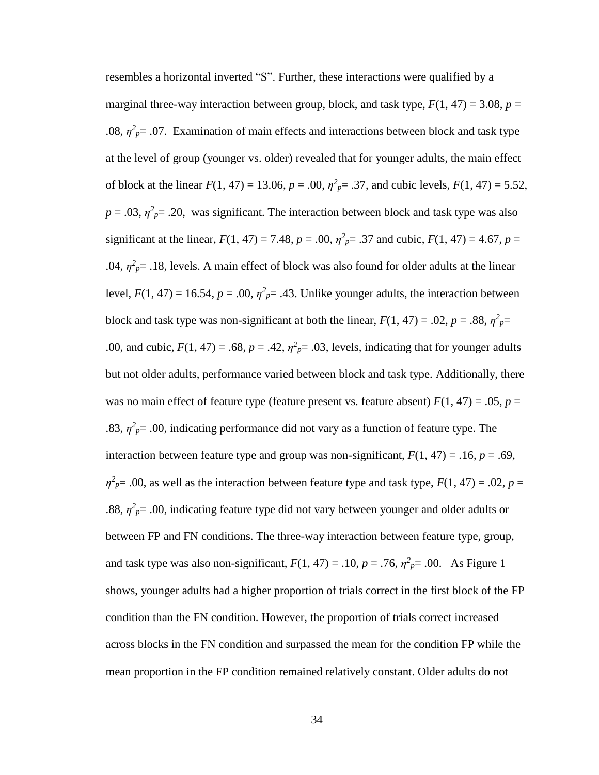resembles a horizontal inverted "S". Further, these interactions were qualified by a marginal three-way interaction between group, block, and task type,  $F(1, 47) = 3.08$ ,  $p =$ .08,  $\eta^2_{\rho}$  = .07. Examination of main effects and interactions between block and task type at the level of group (younger vs. older) revealed that for younger adults, the main effect of block at the linear  $F(1, 47) = 13.06$ ,  $p = .00$ ,  $\eta^2 p = .37$ , and cubic levels,  $F(1, 47) = 5.52$ ,  $p = 0.03$ ,  $\eta^2 p = 0.20$ , was significant. The interaction between block and task type was also significant at the linear,  $F(1, 47) = 7.48$ ,  $p = .00$ ,  $\eta^2 p = .37$  and cubic,  $F(1, 47) = 4.67$ ,  $p =$ .04,  $\eta^2_{\rho}$  = .18, levels. A main effect of block was also found for older adults at the linear level,  $F(1, 47) = 16.54$ ,  $p = .00$ ,  $\eta^2 p = .43$ . Unlike younger adults, the interaction between block and task type was non-significant at both the linear,  $F(1, 47) = .02$ ,  $p = .88$ ,  $\eta^2 p =$ .00, and cubic,  $F(1, 47) = .68$ ,  $p = .42$ ,  $\eta^2 p = .03$ , levels, indicating that for younger adults but not older adults, performance varied between block and task type. Additionally, there was no main effect of feature type (feature present vs. feature absent)  $F(1, 47) = .05$ ,  $p =$ .83,  $\eta^2 p = 0.00$ , indicating performance did not vary as a function of feature type. The interaction between feature type and group was non-significant,  $F(1, 47) = .16$ ,  $p = .69$ ,  $\eta^2 p = 0.00$ , as well as the interaction between feature type and task type,  $F(1, 47) = 0.02$ ,  $p = 0.02$ .88,  $\eta^2 p = 0.00$ , indicating feature type did not vary between younger and older adults or between FP and FN conditions. The three-way interaction between feature type, group, and task type was also non-significant,  $F(1, 47) = .10$ ,  $p = .76$ ,  $\eta^2 p = .00$ . As Figure 1 shows, younger adults had a higher proportion of trials correct in the first block of the FP condition than the FN condition. However, the proportion of trials correct increased across blocks in the FN condition and surpassed the mean for the condition FP while the mean proportion in the FP condition remained relatively constant. Older adults do not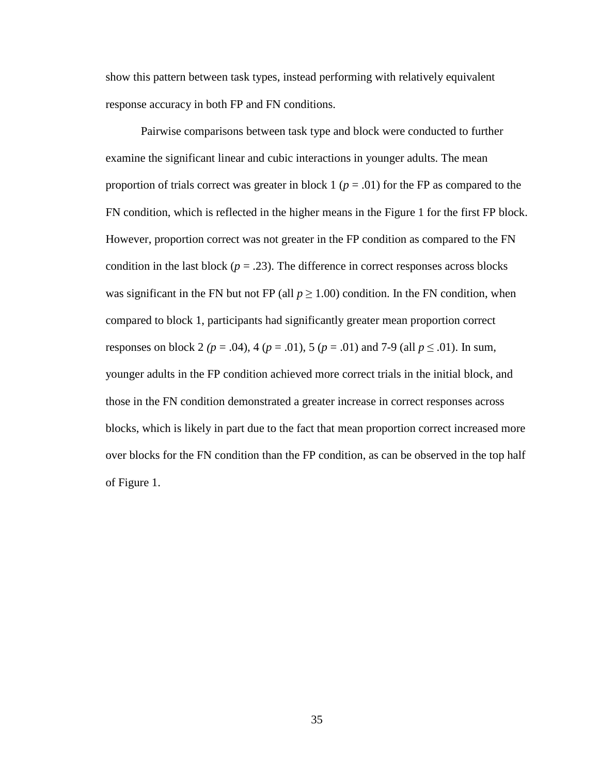show this pattern between task types, instead performing with relatively equivalent response accuracy in both FP and FN conditions.

Pairwise comparisons between task type and block were conducted to further examine the significant linear and cubic interactions in younger adults. The mean proportion of trials correct was greater in block  $1 (p = .01)$  for the FP as compared to the FN condition, which is reflected in the higher means in the Figure 1 for the first FP block. However, proportion correct was not greater in the FP condition as compared to the FN condition in the last block  $(p = .23)$ . The difference in correct responses across blocks was significant in the FN but not FP (all  $p \ge 1.00$ ) condition. In the FN condition, when compared to block 1, participants had significantly greater mean proportion correct responses on block 2 ( $p = .04$ ), 4 ( $p = .01$ ), 5 ( $p = .01$ ) and 7-9 (all  $p \le .01$ ). In sum, younger adults in the FP condition achieved more correct trials in the initial block, and those in the FN condition demonstrated a greater increase in correct responses across blocks, which is likely in part due to the fact that mean proportion correct increased more over blocks for the FN condition than the FP condition, as can be observed in the top half of Figure 1.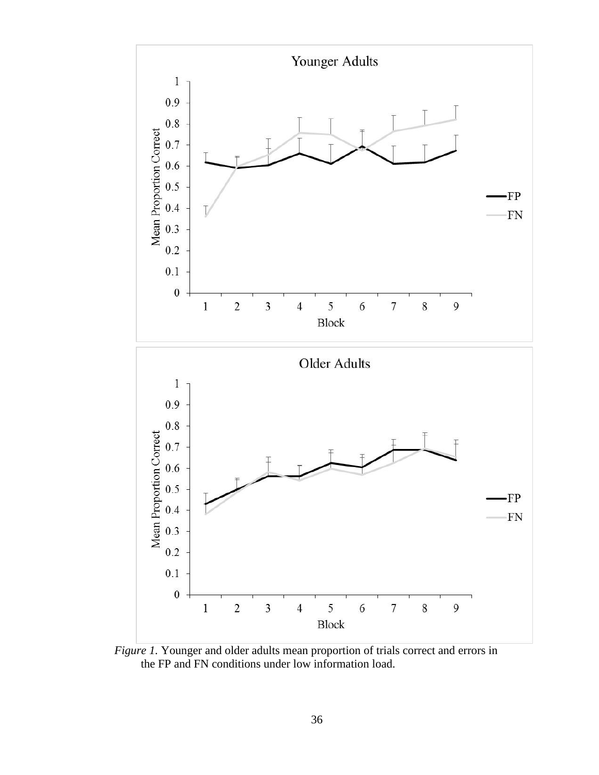

*Figure 1.* Younger and older adults mean proportion of trials correct and errors in the FP and FN conditions under low information load.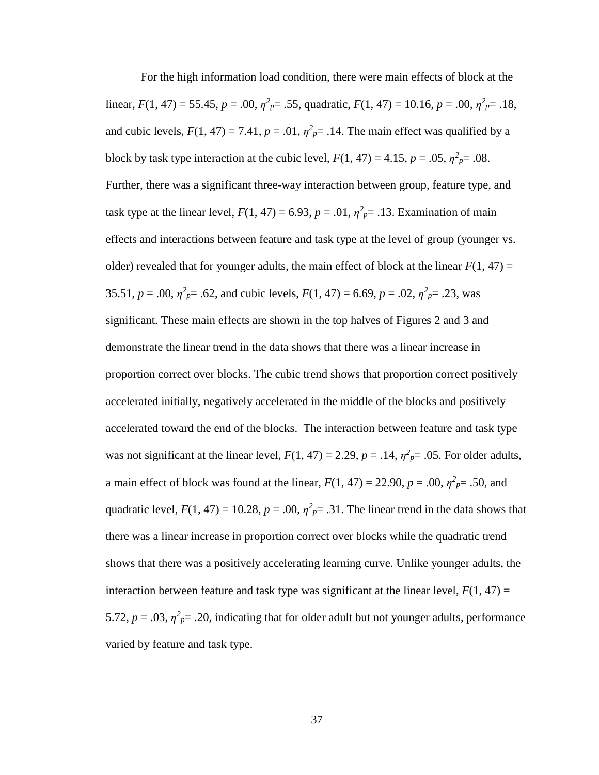For the high information load condition, there were main effects of block at the linear,  $F(1, 47) = 55.45$ ,  $p = .00$ ,  $\eta^2 p = .55$ , quadratic,  $F(1, 47) = 10.16$ ,  $p = .00$ ,  $\eta^2 p = .18$ , and cubic levels,  $F(1, 47) = 7.41$ ,  $p = .01$ ,  $\eta^2 p = .14$ . The main effect was qualified by a block by task type interaction at the cubic level,  $F(1, 47) = 4.15$ ,  $p = .05$ ,  $\eta^2 p = .08$ . Further, there was a significant three-way interaction between group, feature type, and task type at the linear level,  $F(1, 47) = 6.93$ ,  $p = .01$ ,  $\eta^2 p = .13$ . Examination of main effects and interactions between feature and task type at the level of group (younger vs. older) revealed that for younger adults, the main effect of block at the linear  $F(1, 47)$  = 35.51,  $p = .00$ ,  $\eta^2 p = .62$ , and cubic levels,  $F(1, 47) = 6.69$ ,  $p = .02$ ,  $\eta^2 p = .23$ , was significant. These main effects are shown in the top halves of Figures 2 and 3 and demonstrate the linear trend in the data shows that there was a linear increase in proportion correct over blocks. The cubic trend shows that proportion correct positively accelerated initially, negatively accelerated in the middle of the blocks and positively accelerated toward the end of the blocks. The interaction between feature and task type was not significant at the linear level,  $F(1, 47) = 2.29$ ,  $p = .14$ ,  $\eta^2 p = .05$ . For older adults, a main effect of block was found at the linear,  $F(1, 47) = 22.90$ ,  $p = .00$ ,  $\eta^2_{p} = .50$ , and quadratic level,  $F(1, 47) = 10.28$ ,  $p = .00$ ,  $\eta^2 p = .31$ . The linear trend in the data shows that there was a linear increase in proportion correct over blocks while the quadratic trend shows that there was a positively accelerating learning curve. Unlike younger adults, the interaction between feature and task type was significant at the linear level,  $F(1, 47) =$ 5.72,  $p = .03$ ,  $\eta^2_{p} = .20$ , indicating that for older adult but not younger adults, performance varied by feature and task type.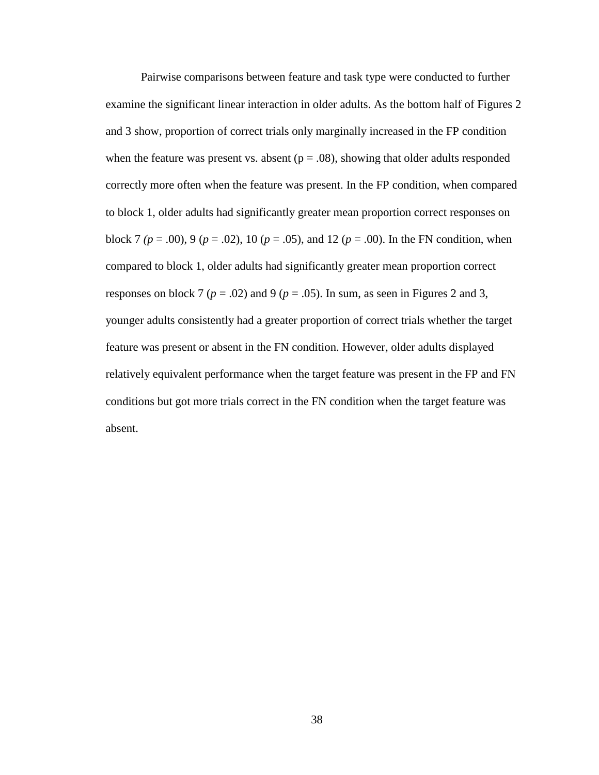Pairwise comparisons between feature and task type were conducted to further examine the significant linear interaction in older adults. As the bottom half of Figures 2 and 3 show, proportion of correct trials only marginally increased in the FP condition when the feature was present vs. absent  $(p = .08)$ , showing that older adults responded correctly more often when the feature was present. In the FP condition, when compared to block 1, older adults had significantly greater mean proportion correct responses on block 7 ( $p = .00$ ), 9 ( $p = .02$ ), 10 ( $p = .05$ ), and 12 ( $p = .00$ ). In the FN condition, when compared to block 1, older adults had significantly greater mean proportion correct responses on block 7 ( $p = .02$ ) and 9 ( $p = .05$ ). In sum, as seen in Figures 2 and 3, younger adults consistently had a greater proportion of correct trials whether the target feature was present or absent in the FN condition. However, older adults displayed relatively equivalent performance when the target feature was present in the FP and FN conditions but got more trials correct in the FN condition when the target feature was absent.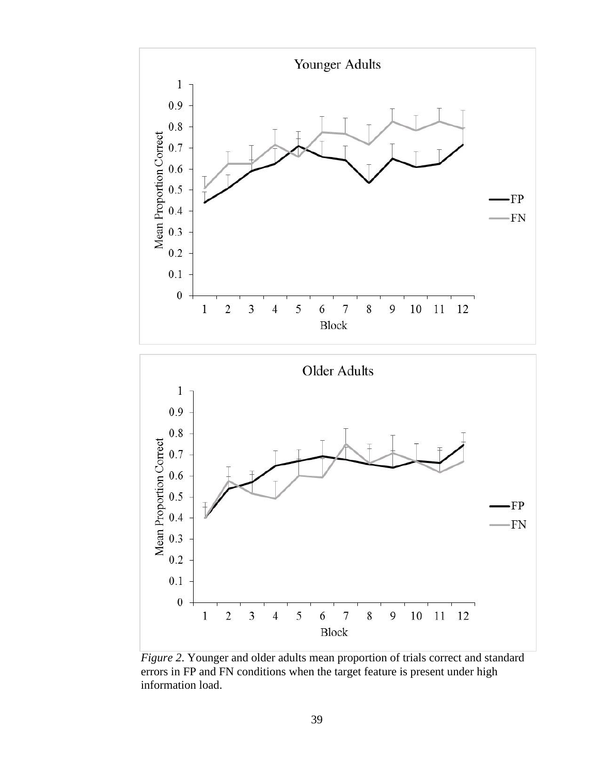

*Figure 2*. Younger and older adults mean proportion of trials correct and standard errors in FP and FN conditions when the target feature is present under high information load.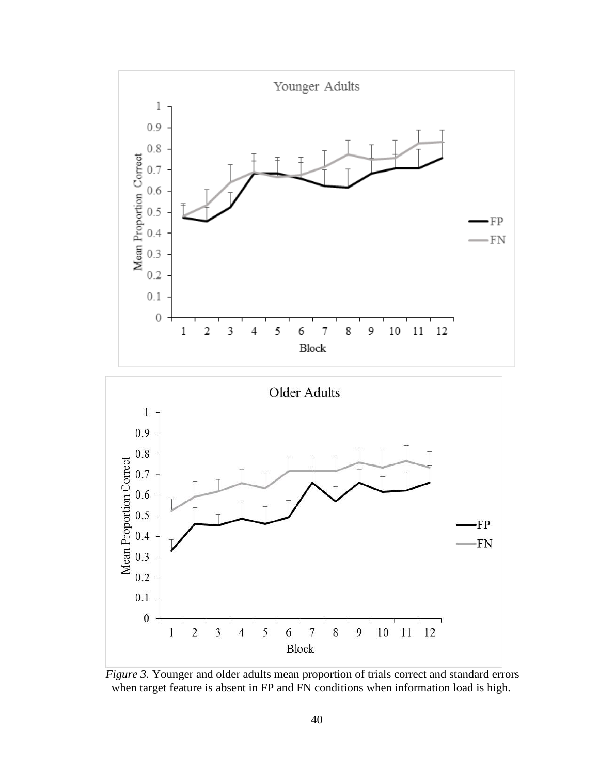

*Figure 3.* Younger and older adults mean proportion of trials correct and standard errors when target feature is absent in FP and FN conditions when information load is high.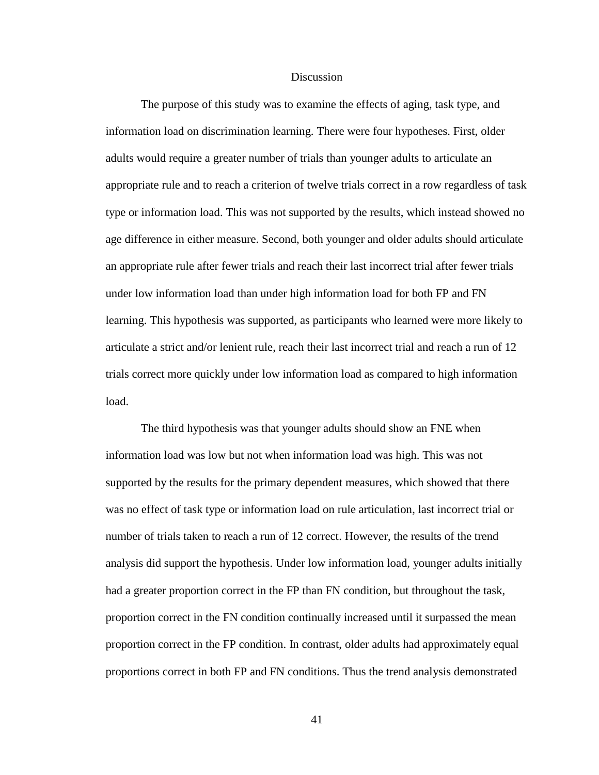#### **Discussion**

The purpose of this study was to examine the effects of aging, task type, and information load on discrimination learning. There were four hypotheses. First, older adults would require a greater number of trials than younger adults to articulate an appropriate rule and to reach a criterion of twelve trials correct in a row regardless of task type or information load. This was not supported by the results, which instead showed no age difference in either measure. Second, both younger and older adults should articulate an appropriate rule after fewer trials and reach their last incorrect trial after fewer trials under low information load than under high information load for both FP and FN learning. This hypothesis was supported, as participants who learned were more likely to articulate a strict and/or lenient rule, reach their last incorrect trial and reach a run of 12 trials correct more quickly under low information load as compared to high information load.

The third hypothesis was that younger adults should show an FNE when information load was low but not when information load was high. This was not supported by the results for the primary dependent measures, which showed that there was no effect of task type or information load on rule articulation, last incorrect trial or number of trials taken to reach a run of 12 correct. However, the results of the trend analysis did support the hypothesis. Under low information load, younger adults initially had a greater proportion correct in the FP than FN condition, but throughout the task, proportion correct in the FN condition continually increased until it surpassed the mean proportion correct in the FP condition. In contrast, older adults had approximately equal proportions correct in both FP and FN conditions. Thus the trend analysis demonstrated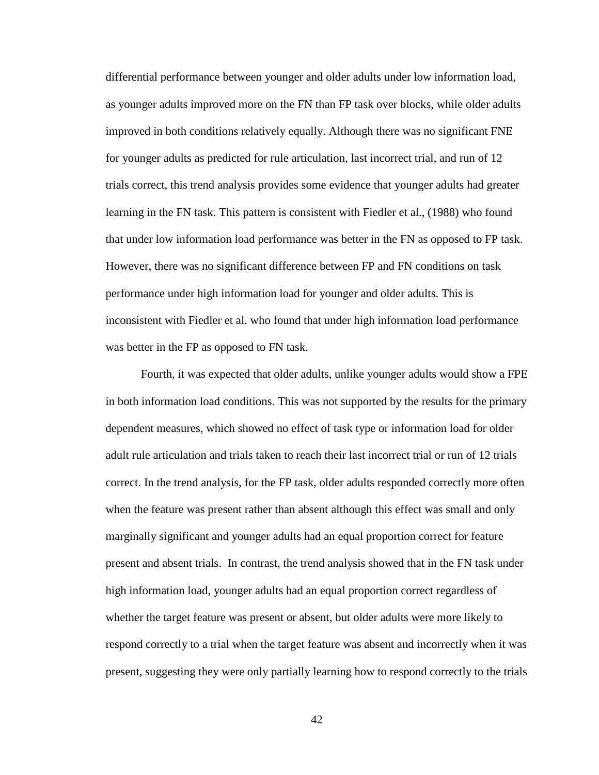differential performance between younger and older adults under low information load, as younger adults improved more on the FN than FP task over blocks, while older adults improved in both conditions relatively equally. Although there was no significant FNE for younger adults as predicted for rule articulation, last incorrect trial, and run of 12 trials correct, this trend analysis provides some evidence that younger adults had greater learning in the FN task. This pattern is consistent with Fiedler et al., (1988) who found that under low information load performance was better in the FN as opposed to FP task. However, there was no significant difference between FP and FN conditions on task performance under high information load for younger and older adults. This is inconsistent with Fiedler et al. who found that under high information load performance was better in the FP as opposed to FN task.

Fourth, it was expected that older adults, unlike younger adults would show a FPE in both information load conditions. This was not supported by the results for the primary dependent measures, which showed no effect of task type or information load for older adult rule articulation and trials taken to reach their last incorrect trial or run of 12 trials correct. In the trend analysis, for the FP task, older adults responded correctly more often when the feature was present rather than absent although this effect was small and only marginally significant and younger adults had an equal proportion correct for feature present and absent trials. In contrast, the trend analysis showed that in the FN task under high information load, younger adults had an equal proportion correct regardless of whether the target feature was present or absent, but older adults were more likely to respond correctly to a trial when the target feature was absent and incorrectly when it was present, suggesting they were only partially learning how to respond correctly to the trials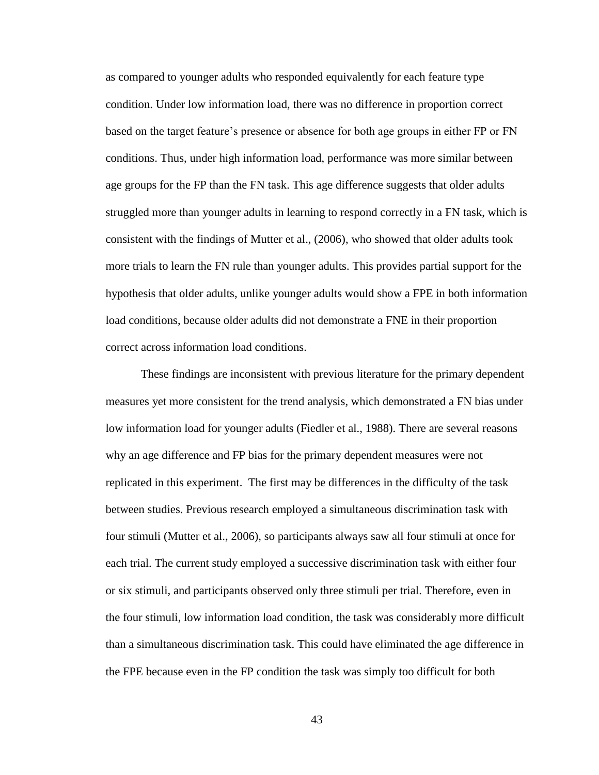as compared to younger adults who responded equivalently for each feature type condition. Under low information load, there was no difference in proportion correct based on the target feature's presence or absence for both age groups in either FP or FN conditions. Thus, under high information load, performance was more similar between age groups for the FP than the FN task. This age difference suggests that older adults struggled more than younger adults in learning to respond correctly in a FN task, which is consistent with the findings of Mutter et al., (2006), who showed that older adults took more trials to learn the FN rule than younger adults. This provides partial support for the hypothesis that older adults, unlike younger adults would show a FPE in both information load conditions, because older adults did not demonstrate a FNE in their proportion correct across information load conditions.

These findings are inconsistent with previous literature for the primary dependent measures yet more consistent for the trend analysis, which demonstrated a FN bias under low information load for younger adults (Fiedler et al., 1988). There are several reasons why an age difference and FP bias for the primary dependent measures were not replicated in this experiment. The first may be differences in the difficulty of the task between studies. Previous research employed a simultaneous discrimination task with four stimuli (Mutter et al., 2006), so participants always saw all four stimuli at once for each trial. The current study employed a successive discrimination task with either four or six stimuli, and participants observed only three stimuli per trial. Therefore, even in the four stimuli, low information load condition, the task was considerably more difficult than a simultaneous discrimination task. This could have eliminated the age difference in the FPE because even in the FP condition the task was simply too difficult for both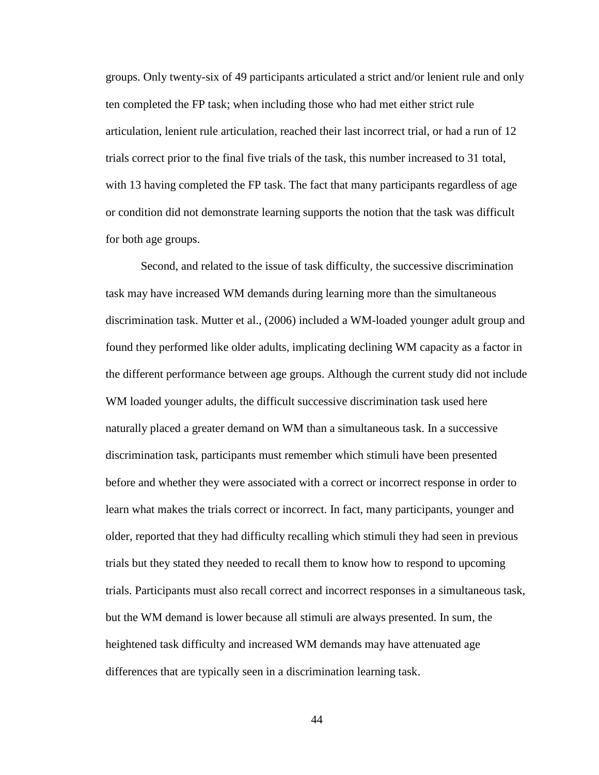groups. Only twenty-six of 49 participants articulated a strict and/or lenient rule and only ten completed the FP task; when including those who had met either strict rule articulation, lenient rule articulation, reached their last incorrect trial, or had a run of 12 trials correct prior to the final five trials of the task, this number increased to 31 total, with 13 having completed the FP task. The fact that many participants regardless of age or condition did not demonstrate learning supports the notion that the task was difficult for both age groups.

Second, and related to the issue of task difficulty, the successive discrimination task may have increased WM demands during learning more than the simultaneous discrimination task. Mutter et al., (2006) included a WM-loaded younger adult group and found they performed like older adults, implicating declining WM capacity as a factor in the different performance between age groups. Although the current study did not include WM loaded younger adults, the difficult successive discrimination task used here naturally placed a greater demand on WM than a simultaneous task. In a successive discrimination task, participants must remember which stimuli have been presented before and whether they were associated with a correct or incorrect response in order to learn what makes the trials correct or incorrect. In fact, many participants, younger and older, reported that they had difficulty recalling which stimuli they had seen in previous trials but they stated they needed to recall them to know how to respond to upcoming trials. Participants must also recall correct and incorrect responses in a simultaneous task, but the WM demand is lower because all stimuli are always presented. In sum, the heightened task difficulty and increased WM demands may have attenuated age differences that are typically seen in a discrimination learning task.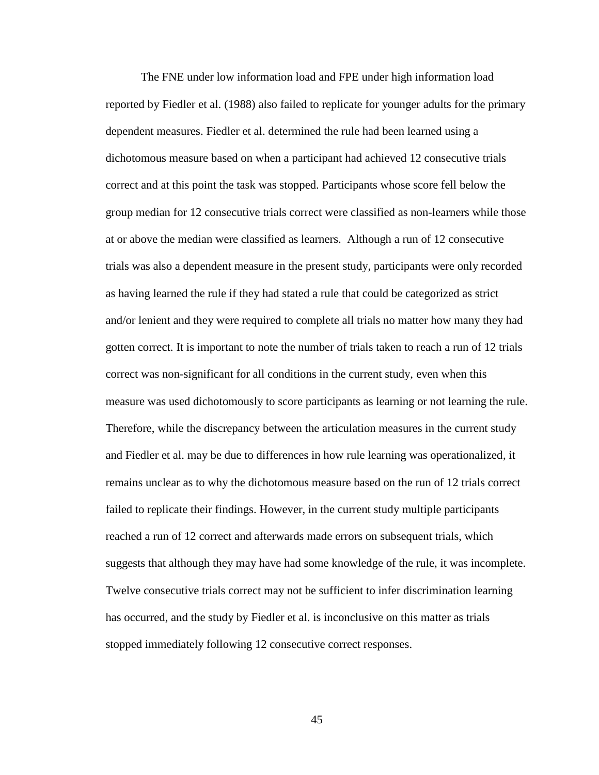The FNE under low information load and FPE under high information load reported by Fiedler et al. (1988) also failed to replicate for younger adults for the primary dependent measures. Fiedler et al. determined the rule had been learned using a dichotomous measure based on when a participant had achieved 12 consecutive trials correct and at this point the task was stopped. Participants whose score fell below the group median for 12 consecutive trials correct were classified as non-learners while those at or above the median were classified as learners. Although a run of 12 consecutive trials was also a dependent measure in the present study, participants were only recorded as having learned the rule if they had stated a rule that could be categorized as strict and/or lenient and they were required to complete all trials no matter how many they had gotten correct. It is important to note the number of trials taken to reach a run of 12 trials correct was non-significant for all conditions in the current study, even when this measure was used dichotomously to score participants as learning or not learning the rule. Therefore, while the discrepancy between the articulation measures in the current study and Fiedler et al. may be due to differences in how rule learning was operationalized, it remains unclear as to why the dichotomous measure based on the run of 12 trials correct failed to replicate their findings. However, in the current study multiple participants reached a run of 12 correct and afterwards made errors on subsequent trials, which suggests that although they may have had some knowledge of the rule, it was incomplete. Twelve consecutive trials correct may not be sufficient to infer discrimination learning has occurred, and the study by Fiedler et al. is inconclusive on this matter as trials stopped immediately following 12 consecutive correct responses.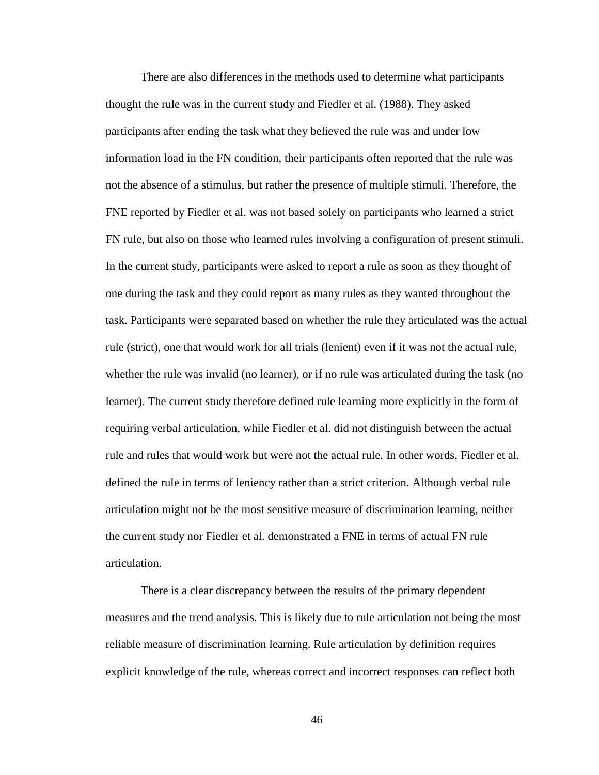There are also differences in the methods used to determine what participants thought the rule was in the current study and Fiedler et al. (1988). They asked participants after ending the task what they believed the rule was and under low information load in the FN condition, their participants often reported that the rule was not the absence of a stimulus, but rather the presence of multiple stimuli. Therefore, the FNE reported by Fiedler et al. was not based solely on participants who learned a strict FN rule, but also on those who learned rules involving a configuration of present stimuli. In the current study, participants were asked to report a rule as soon as they thought of one during the task and they could report as many rules as they wanted throughout the task. Participants were separated based on whether the rule they articulated was the actual rule (strict), one that would work for all trials (lenient) even if it was not the actual rule, whether the rule was invalid (no learner), or if no rule was articulated during the task (no learner). The current study therefore defined rule learning more explicitly in the form of requiring verbal articulation, while Fiedler et al. did not distinguish between the actual rule and rules that would work but were not the actual rule. In other words, Fiedler et al. defined the rule in terms of leniency rather than a strict criterion. Although verbal rule articulation might not be the most sensitive measure of discrimination learning, neither the current study nor Fiedler et al. demonstrated a FNE in terms of actual FN rule articulation.

There is a clear discrepancy between the results of the primary dependent measures and the trend analysis. This is likely due to rule articulation not being the most reliable measure of discrimination learning. Rule articulation by definition requires explicit knowledge of the rule, whereas correct and incorrect responses can reflect both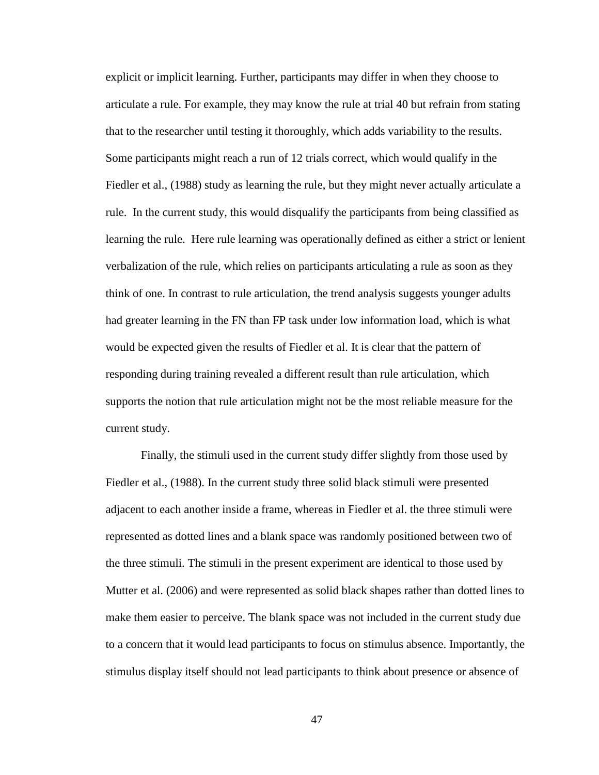explicit or implicit learning. Further, participants may differ in when they choose to articulate a rule. For example, they may know the rule at trial 40 but refrain from stating that to the researcher until testing it thoroughly, which adds variability to the results. Some participants might reach a run of 12 trials correct, which would qualify in the Fiedler et al., (1988) study as learning the rule, but they might never actually articulate a rule. In the current study, this would disqualify the participants from being classified as learning the rule. Here rule learning was operationally defined as either a strict or lenient verbalization of the rule, which relies on participants articulating a rule as soon as they think of one. In contrast to rule articulation, the trend analysis suggests younger adults had greater learning in the FN than FP task under low information load, which is what would be expected given the results of Fiedler et al. It is clear that the pattern of responding during training revealed a different result than rule articulation, which supports the notion that rule articulation might not be the most reliable measure for the current study.

Finally, the stimuli used in the current study differ slightly from those used by Fiedler et al., (1988). In the current study three solid black stimuli were presented adjacent to each another inside a frame, whereas in Fiedler et al. the three stimuli were represented as dotted lines and a blank space was randomly positioned between two of the three stimuli. The stimuli in the present experiment are identical to those used by Mutter et al. (2006) and were represented as solid black shapes rather than dotted lines to make them easier to perceive. The blank space was not included in the current study due to a concern that it would lead participants to focus on stimulus absence. Importantly, the stimulus display itself should not lead participants to think about presence or absence of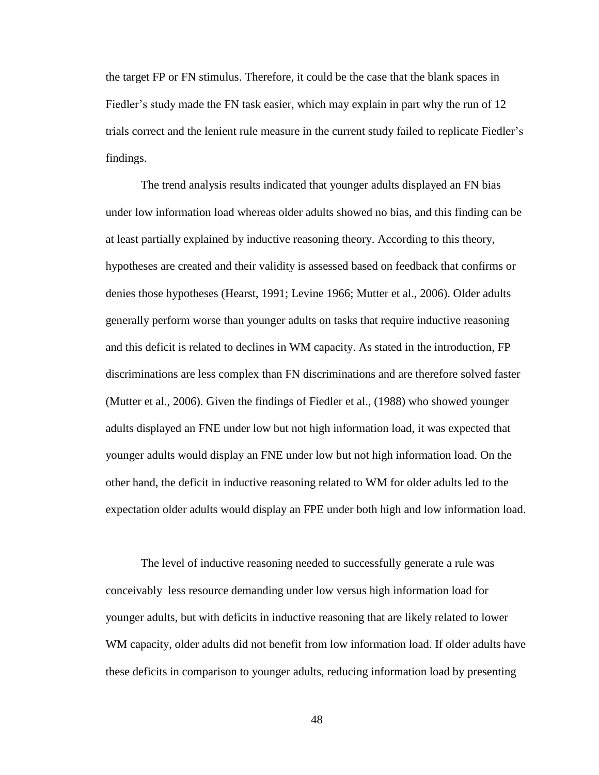the target FP or FN stimulus. Therefore, it could be the case that the blank spaces in Fiedler's study made the FN task easier, which may explain in part why the run of 12 trials correct and the lenient rule measure in the current study failed to replicate Fiedler's findings.

The trend analysis results indicated that younger adults displayed an FN bias under low information load whereas older adults showed no bias, and this finding can be at least partially explained by inductive reasoning theory. According to this theory, hypotheses are created and their validity is assessed based on feedback that confirms or denies those hypotheses (Hearst, 1991; Levine 1966; Mutter et al., 2006). Older adults generally perform worse than younger adults on tasks that require inductive reasoning and this deficit is related to declines in WM capacity. As stated in the introduction, FP discriminations are less complex than FN discriminations and are therefore solved faster (Mutter et al., 2006). Given the findings of Fiedler et al., (1988) who showed younger adults displayed an FNE under low but not high information load, it was expected that younger adults would display an FNE under low but not high information load. On the other hand, the deficit in inductive reasoning related to WM for older adults led to the expectation older adults would display an FPE under both high and low information load.

The level of inductive reasoning needed to successfully generate a rule was conceivably less resource demanding under low versus high information load for younger adults, but with deficits in inductive reasoning that are likely related to lower WM capacity, older adults did not benefit from low information load. If older adults have these deficits in comparison to younger adults, reducing information load by presenting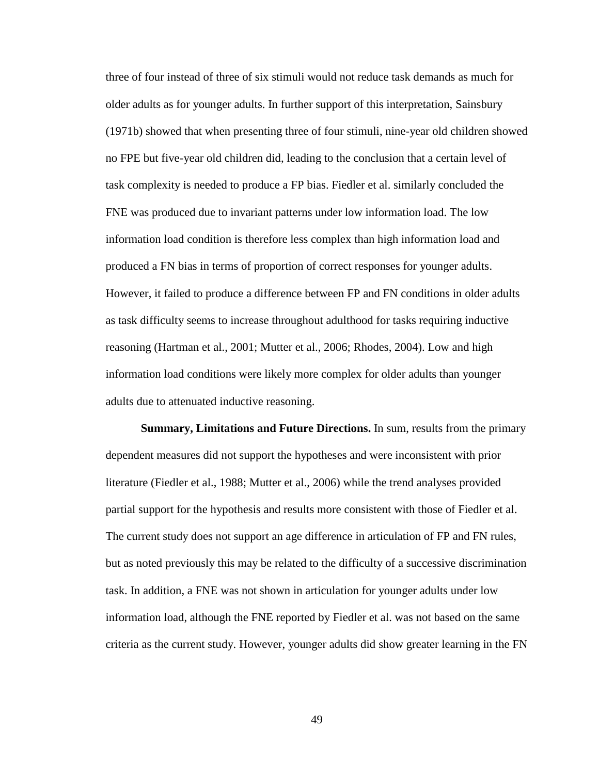three of four instead of three of six stimuli would not reduce task demands as much for older adults as for younger adults. In further support of this interpretation, Sainsbury (1971b) showed that when presenting three of four stimuli, nine-year old children showed no FPE but five-year old children did, leading to the conclusion that a certain level of task complexity is needed to produce a FP bias. Fiedler et al. similarly concluded the FNE was produced due to invariant patterns under low information load. The low information load condition is therefore less complex than high information load and produced a FN bias in terms of proportion of correct responses for younger adults. However, it failed to produce a difference between FP and FN conditions in older adults as task difficulty seems to increase throughout adulthood for tasks requiring inductive reasoning (Hartman et al., 2001; Mutter et al., 2006; Rhodes, 2004). Low and high information load conditions were likely more complex for older adults than younger adults due to attenuated inductive reasoning.

**Summary, Limitations and Future Directions.** In sum, results from the primary dependent measures did not support the hypotheses and were inconsistent with prior literature (Fiedler et al., 1988; Mutter et al., 2006) while the trend analyses provided partial support for the hypothesis and results more consistent with those of Fiedler et al. The current study does not support an age difference in articulation of FP and FN rules, but as noted previously this may be related to the difficulty of a successive discrimination task. In addition, a FNE was not shown in articulation for younger adults under low information load, although the FNE reported by Fiedler et al. was not based on the same criteria as the current study. However, younger adults did show greater learning in the FN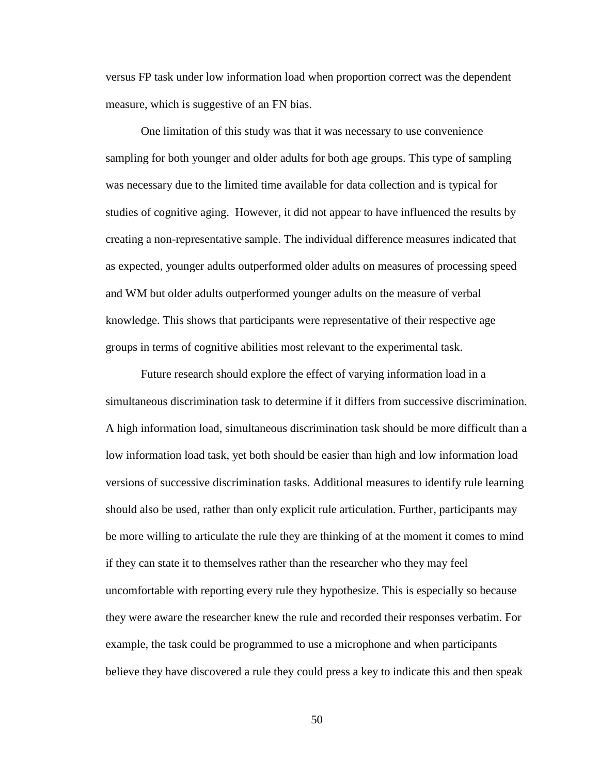versus FP task under low information load when proportion correct was the dependent measure, which is suggestive of an FN bias.

One limitation of this study was that it was necessary to use convenience sampling for both younger and older adults for both age groups. This type of sampling was necessary due to the limited time available for data collection and is typical for studies of cognitive aging. However, it did not appear to have influenced the results by creating a non-representative sample. The individual difference measures indicated that as expected, younger adults outperformed older adults on measures of processing speed and WM but older adults outperformed younger adults on the measure of verbal knowledge. This shows that participants were representative of their respective age groups in terms of cognitive abilities most relevant to the experimental task.

Future research should explore the effect of varying information load in a simultaneous discrimination task to determine if it differs from successive discrimination. A high information load, simultaneous discrimination task should be more difficult than a low information load task, yet both should be easier than high and low information load versions of successive discrimination tasks. Additional measures to identify rule learning should also be used, rather than only explicit rule articulation. Further, participants may be more willing to articulate the rule they are thinking of at the moment it comes to mind if they can state it to themselves rather than the researcher who they may feel uncomfortable with reporting every rule they hypothesize. This is especially so because they were aware the researcher knew the rule and recorded their responses verbatim. For example, the task could be programmed to use a microphone and when participants believe they have discovered a rule they could press a key to indicate this and then speak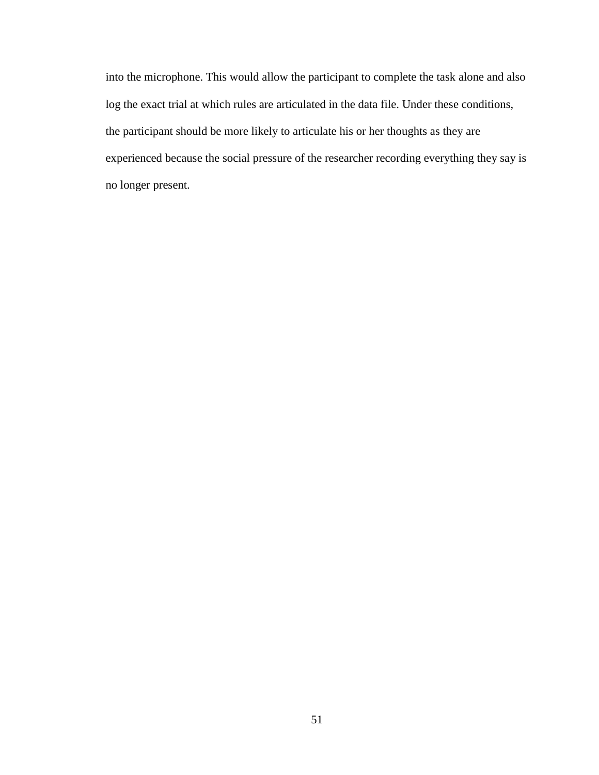into the microphone. This would allow the participant to complete the task alone and also log the exact trial at which rules are articulated in the data file. Under these conditions, the participant should be more likely to articulate his or her thoughts as they are experienced because the social pressure of the researcher recording everything they say is no longer present.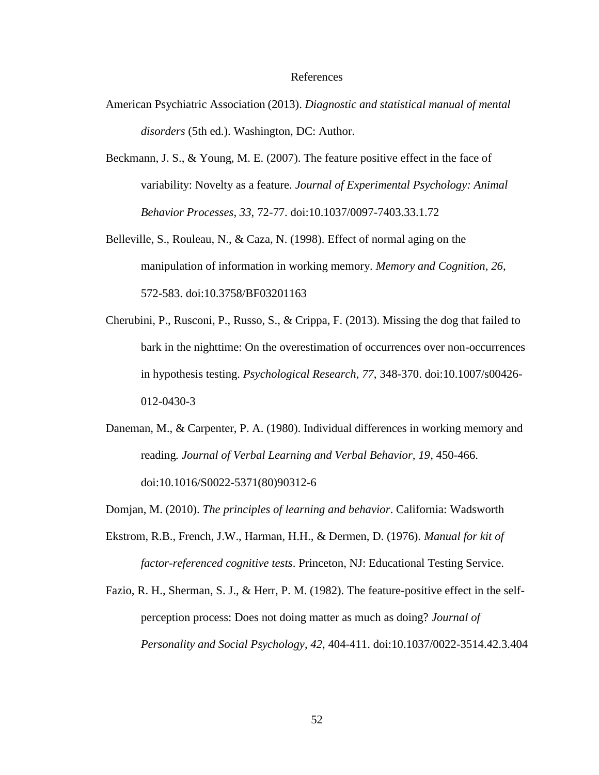#### References

- American Psychiatric Association (2013). *Diagnostic and statistical manual of mental disorders* (5th ed.). Washington, DC: Author.
- Beckmann, J. S., & Young, M. E. (2007). The feature positive effect in the face of variability: Novelty as a feature. *Journal of Experimental Psychology: Animal Behavior Processes*, *33*, 72-77. doi:10.1037/0097-7403.33.1.72
- Belleville, S., Rouleau, N., & Caza, N. (1998). Effect of normal aging on the manipulation of information in working memory. *Memory and Cognition*, *26*, 572-583. doi:10.3758/BF03201163
- Cherubini, P., Rusconi, P., Russo, S., & Crippa, F. (2013). Missing the dog that failed to bark in the nighttime: On the overestimation of occurrences over non-occurrences in hypothesis testing. *Psychological Research*, *77*, 348-370. doi:10.1007/s00426- 012-0430-3
- Daneman, M., & Carpenter, P. A. (1980). Individual differences in working memory and reading*. Journal of Verbal Learning and Verbal Behavior, 19*, 450-466. doi:10.1016/S0022-5371(80)90312-6
- Domjan, M. (2010). *The principles of learning and behavior*. California: Wadsworth
- Ekstrom, R.B., French, J.W., Harman, H.H., & Dermen, D. (1976). *Manual for kit of factor-referenced cognitive tests*. Princeton, NJ: Educational Testing Service.
- Fazio, R. H., Sherman, S. J., & Herr, P. M. (1982). The feature-positive effect in the selfperception process: Does not doing matter as much as doing? *Journal of Personality and Social Psychology*, *42*, 404-411. doi:10.1037/0022-3514.42.3.404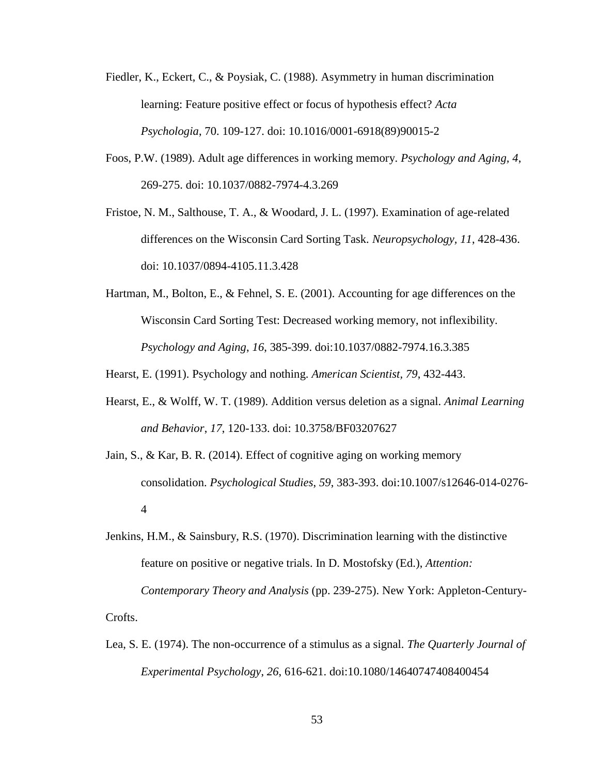- Fiedler, K., Eckert, C., & Poysiak, C. (1988). Asymmetry in human discrimination learning: Feature positive effect or focus of hypothesis effect? *Acta Psychologia*, 70. 109-127. doi: 10.1016/0001-6918(89)90015-2
- Foos, P.W. (1989). Adult age differences in working memory. *Psychology and Aging, 4*, 269-275. doi: 10.1037/0882-7974-4.3.269
- Fristoe, N. M., Salthouse, T. A., & Woodard, J. L. (1997). Examination of age-related differences on the Wisconsin Card Sorting Task. *Neuropsychology, 11*, 428-436. doi: 10.1037/0894-4105.11.3.428
- Hartman, M., Bolton, E., & Fehnel, S. E. (2001). Accounting for age differences on the Wisconsin Card Sorting Test: Decreased working memory, not inflexibility. *Psychology and Aging*, *16*, 385-399. doi:10.1037/0882-7974.16.3.385

Hearst, E. (1991). Psychology and nothing. *American Scientist, 79*, 432-443.

- Hearst, E., & Wolff, W. T. (1989). Addition versus deletion as a signal. *Animal Learning and Behavior*, *17*, 120-133. doi: 10.3758/BF03207627
- Jain, S., & Kar, B. R. (2014). Effect of cognitive aging on working memory consolidation. *Psychological Studies*, *59*, 383-393. doi:10.1007/s12646-014-0276- 4
- Jenkins, H.M., & Sainsbury, R.S. (1970). Discrimination learning with the distinctive feature on positive or negative trials. In D. Mostofsky (Ed.), *Attention: Contemporary Theory and Analysis* (pp. 239-275). New York: Appleton-Century-Crofts.
- Lea, S. E. (1974). The non-occurrence of a stimulus as a signal. *The Quarterly Journal of Experimental Psychology*, *26*, 616-621. doi:10.1080/14640747408400454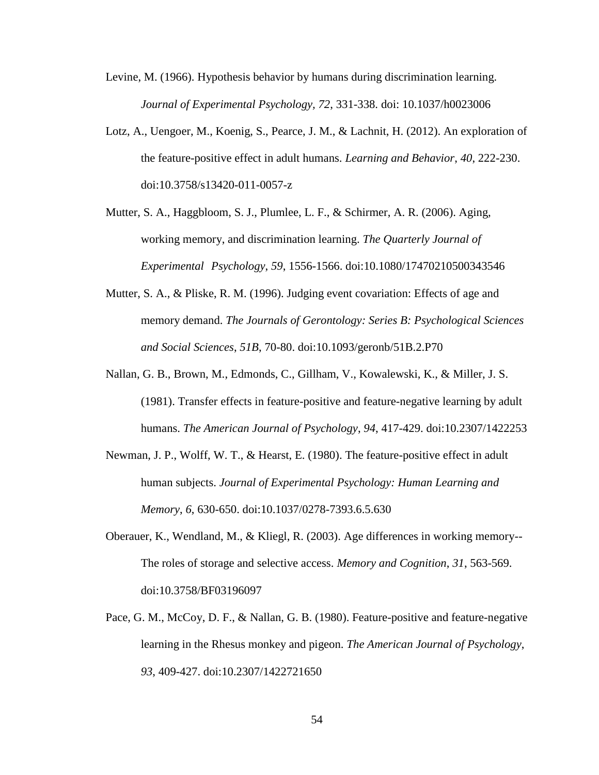- Levine, M. (1966). Hypothesis behavior by humans during discrimination learning*. Journal of Experimental Psychology, 72*, 331-338. doi: 10.1037/h0023006
- Lotz, A., Uengoer, M., Koenig, S., Pearce, J. M., & Lachnit, H. (2012). An exploration of the feature-positive effect in adult humans. *Learning and Behavior*, *40*, 222-230. doi:10.3758/s13420-011-0057-z
- Mutter, S. A., Haggbloom, S. J., Plumlee, L. F., & Schirmer, A. R. (2006). Aging, working memory, and discrimination learning. *The Quarterly Journal of Experimental Psychology*, *59*, 1556-1566. doi:10.1080/17470210500343546
- Mutter, S. A., & Pliske, R. M. (1996). Judging event covariation: Effects of age and memory demand. *The Journals of Gerontology: Series B: Psychological Sciences and Social Sciences*, *51B*, 70-80. doi:10.1093/geronb/51B.2.P70
- Nallan, G. B., Brown, M., Edmonds, C., Gillham, V., Kowalewski, K., & Miller, J. S. (1981). Transfer effects in feature-positive and feature-negative learning by adult humans. *The American Journal of Psychology*, *94*, 417-429. doi:10.2307/1422253
- Newman, J. P., Wolff, W. T., & Hearst, E. (1980). The feature-positive effect in adult human subjects. *Journal of Experimental Psychology: Human Learning and Memory*, *6*, 630-650. doi:10.1037/0278-7393.6.5.630
- Oberauer, K., Wendland, M., & Kliegl, R. (2003). Age differences in working memory-- The roles of storage and selective access. *Memory and Cognition*, *31*, 563-569. doi:10.3758/BF03196097
- Pace, G. M., McCoy, D. F., & Nallan, G. B. (1980). Feature-positive and feature-negative learning in the Rhesus monkey and pigeon. *The American Journal of Psychology*, *93*, 409-427. doi:10.2307/1422721650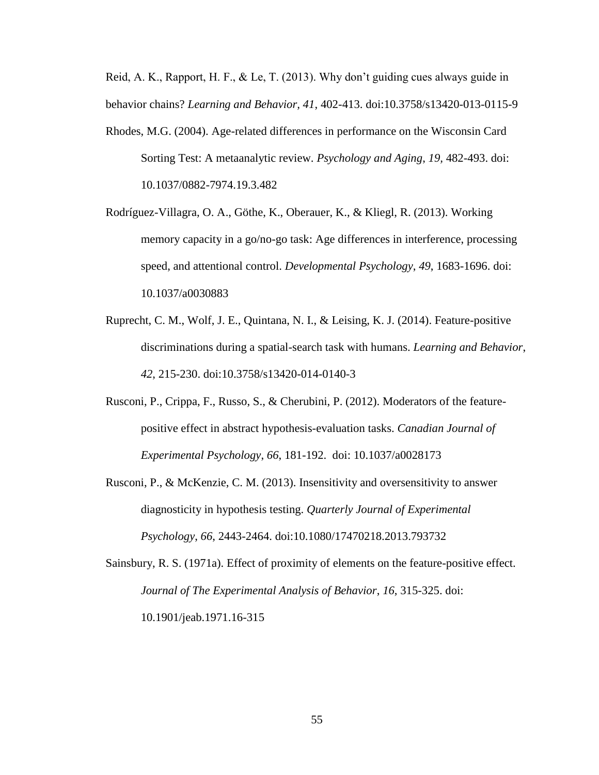Reid, A. K., Rapport, H. F., & Le, T. (2013). Why don't guiding cues always guide in behavior chains? *Learning and Behavior, 41*, 402-413. doi:10.3758/s13420-013-0115-9

- Rhodes, M.G. (2004). Age-related differences in performance on the Wisconsin Card Sorting Test: A metaanalytic review. *Psychology and Aging*, *19,* 482-493. doi: 10.1037/0882-7974.19.3.482
- Rodríguez-Villagra, O. A., Göthe, K., Oberauer, K., & Kliegl, R. (2013). Working memory capacity in a go/no-go task: Age differences in interference, processing speed, and attentional control. *Developmental Psychology*, *49*, 1683-1696. doi: 10.1037/a0030883
- Ruprecht, C. M., Wolf, J. E., Quintana, N. I., & Leising, K. J. (2014). Feature-positive discriminations during a spatial-search task with humans. *Learning and Behavior*, *42*, 215-230. doi:10.3758/s13420-014-0140-3
- Rusconi, P., Crippa, F., Russo, S., & Cherubini, P. (2012). Moderators of the featurepositive effect in abstract hypothesis-evaluation tasks. *Canadian Journal of Experimental Psychology*, *66*, 181-192. doi: 10.1037/a0028173
- Rusconi, P., & McKenzie, C. M. (2013). Insensitivity and oversensitivity to answer diagnosticity in hypothesis testing. *Quarterly Journal of Experimental Psychology*, *66*, 2443-2464. doi:10.1080/17470218.2013.793732
- Sainsbury, R. S. (1971a). Effect of proximity of elements on the feature-positive effect. *Journal of The Experimental Analysis of Behavior*, *16*, 315-325. doi: 10.1901/jeab.1971.16-315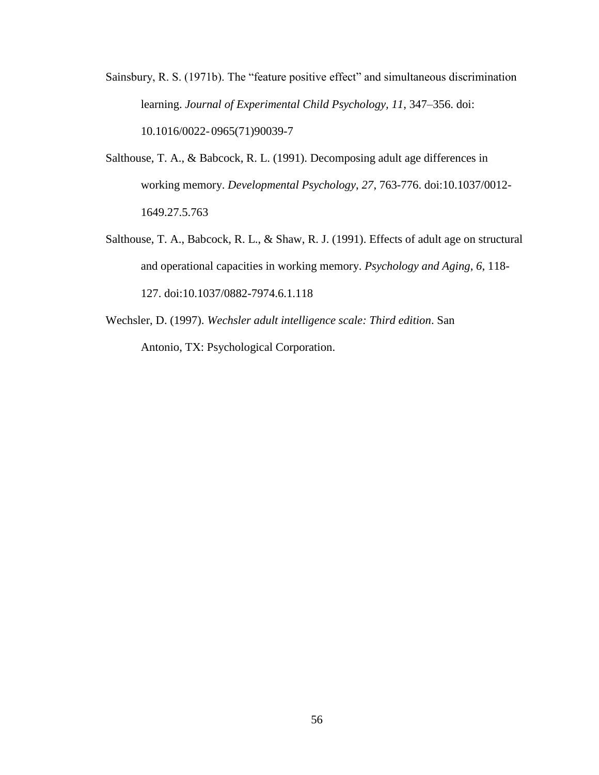- Sainsbury, R. S. (1971b). The "feature positive effect" and simultaneous discrimination learning. *Journal of Experimental Child Psychology, 11*, 347–356. doi: 10.1016/0022- 0965(71)90039-7
- Salthouse, T. A., & Babcock, R. L. (1991). Decomposing adult age differences in working memory. *Developmental Psychology*, *27*, 763-776. doi:10.1037/0012- 1649.27.5.763
- Salthouse, T. A., Babcock, R. L., & Shaw, R. J. (1991). Effects of adult age on structural and operational capacities in working memory. *Psychology and Aging*, *6*, 118- 127. doi:10.1037/0882-7974.6.1.118
- Wechsler, D. (1997). *Wechsler adult intelligence scale: Third edition*. San Antonio, TX: Psychological Corporation.